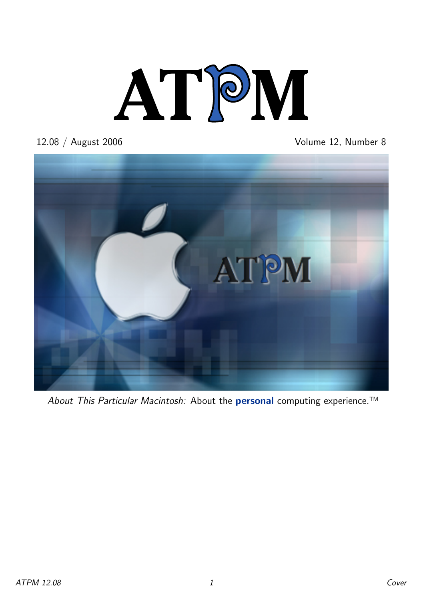# **AT**P**M**

12.08 / August 2006 Volume 12, Number 8



About This Particular Macintosh: About the **personal** computing experience.™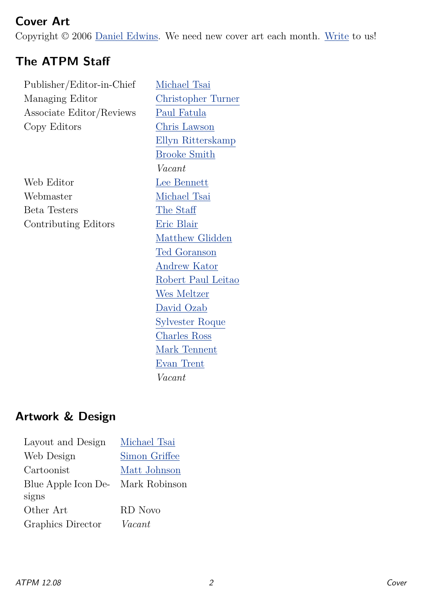### **Cover Art**

Copyright © 2006 [Daniel Edwins.](mailto:edwinsd@stolaf.edu) We need new cover art each month. [Write](mailto:cover-art@atpm.com) to us!

### **The ATPM Staff**

Publisher/Editor-in-Chief [Michael Tsai](mailto:mtsai@atpm.com) Managing Editor [Christopher Turner](mailto:cturner@atpm.com) Associate Editor/Reviews [Paul Fatula](mailto:pfatula@atpm.com) Copy Editors [Chris Lawson](mailto:clawson@atpm.com)

Web Editor [Lee Bennett](mailto:lbennett@atpm.com) Webmaster [Michael Tsai](mailto:mtsai@atpm.com) Beta Testers [The Staff](mailto:editor@atpm.com) Contributing Editors [Eric Blair](mailto:eblair@atpm.com)

[Ellyn Ritterskamp](mailto:eritterskamp@atpm.com) [Brooke Smith](mailto:bsmith@atpm.com) *Vacant* [Matthew Glidden](mailto:mglidden@atpm.com) [Ted Goranson](mailto:tgoranson@atpm.com) [Andrew Kator](mailto:akator@atpm.com) [Robert Paul Leitao](mailto:rleitao@atpm.com) [Wes Meltzer](mailto:wmeltzer@atpm.com) [David Ozab](mailto:dozab@atpm.com) [Sylvester Roque](mailto:sroque@atpm.com) [Charles Ross](mailto:cross@atpm.com) [Mark Tennent](mailto:mtennent@atpm.com) [Evan Trent](mailto:etrent@atpm.com) *Vacant*

### **Artwork & Design**

| Layout and Design                 | Michael Tsai  |
|-----------------------------------|---------------|
| Web Design                        | Simon Griffee |
| Cartoonist                        | Matt Johnson  |
| Blue Apple Icon De- Mark Robinson |               |
| signs                             |               |
| Other Art                         | RD Novo       |
| Graphics Director                 | Vacant        |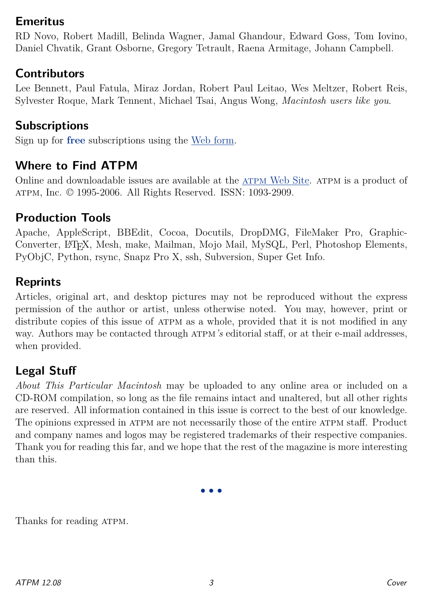### **Emeritus**

RD Novo, Robert Madill, Belinda Wagner, Jamal Ghandour, Edward Goss, Tom Iovino, Daniel Chvatik, Grant Osborne, Gregory Tetrault, Raena Armitage, Johann Campbell.

### **Contributors**

Lee Bennett, Paul Fatula, Miraz Jordan, Robert Paul Leitao, Wes Meltzer, Robert Reis, Sylvester Roque, Mark Tennent, Michael Tsai, Angus Wong, *Macintosh users like you*.

### **Subscriptions**

Sign up for **free** subscriptions using the [Web form.](http://www.atpm.com/subscribe/)

### **Where to Find ATPM**

Online and downloadable issues are available at the ATPM [Web Site.](http://www.atpm.com) ATPM is a product of atpm, Inc. © 1995-2006. All Rights Reserved. ISSN: 1093-2909.

### **Production Tools**

Apache, AppleScript, BBEdit, Cocoa, Docutils, DropDMG, FileMaker Pro, Graphic-Converter, LATEX, Mesh, make, Mailman, Mojo Mail, MySQL, Perl, Photoshop Elements, PyObjC, Python, rsync, Snapz Pro X, ssh, Subversion, Super Get Info.

### **Reprints**

Articles, original art, and desktop pictures may not be reproduced without the express permission of the author or artist, unless otherwise noted. You may, however, print or distribute copies of this issue of ATPM as a whole, provided that it is not modified in any way. Authors may be contacted through ATPM's editorial staff, or at their e-mail addresses, when provided.

### **Legal Stuff**

*About This Particular Macintosh* may be uploaded to any online area or included on a CD-ROM compilation, so long as the file remains intact and unaltered, but all other rights are reserved. All information contained in this issue is correct to the best of our knowledge. The opinions expressed in ATPM are not necessarily those of the entire ATPM staff. Product and company names and logos may be registered trademarks of their respective companies. Thank you for reading this far, and we hope that the rest of the magazine is more interesting than this.

• • •

Thanks for reading ATPM.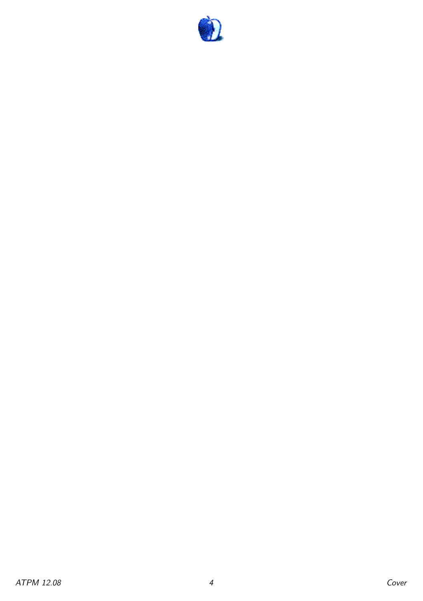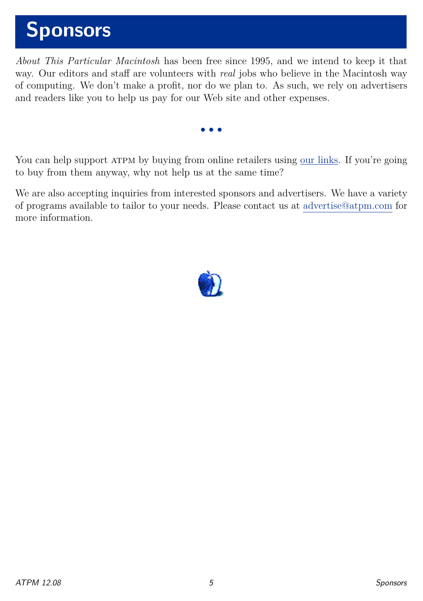### **Sponsors**

*About This Particular Macintosh* has been free since 1995, and we intend to keep it that way. Our editors and staff are volunteers with *real* jobs who believe in the Macintosh way of computing. We don't make a profit, nor do we plan to. As such, we rely on advertisers and readers like you to help us pay for our Web site and other expenses.

• • •

You can help support ATPM by buying from online retailers using [our links.](http://www.atpm.com/about/support.shtml) If you're going to buy from them anyway, why not help us at the same time?

We are also accepting inquiries from interested sponsors and advertisers. We have a variety of programs available to tailor to your needs. Please contact us at [advertise@atpm.com](mailto:advertise@atpm.com) for more information.

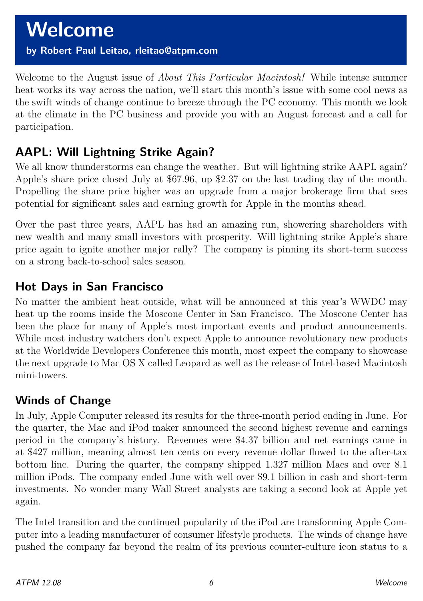### **Welcome by Robert Paul Leitao, [rleitao@atpm.com](mailto:rleitao@atpm.com)**

Welcome to the August issue of *About This Particular Macintosh!* While intense summer heat works its way across the nation, we'll start this month's issue with some cool news as the swift winds of change continue to breeze through the PC economy. This month we look at the climate in the PC business and provide you with an August forecast and a call for participation.

### **AAPL: Will Lightning Strike Again?**

We all know thunderstorms can change the weather. But will lightning strike AAPL again? Apple's share price closed July at \$67.96, up \$2.37 on the last trading day of the month. Propelling the share price higher was an upgrade from a major brokerage firm that sees potential for significant sales and earning growth for Apple in the months ahead.

Over the past three years, AAPL has had an amazing run, showering shareholders with new wealth and many small investors with prosperity. Will lightning strike Apple's share price again to ignite another major rally? The company is pinning its short-term success on a strong back-to-school sales season.

### **Hot Days in San Francisco**

No matter the ambient heat outside, what will be announced at this year's WWDC may heat up the rooms inside the Moscone Center in San Francisco. The Moscone Center has been the place for many of Apple's most important events and product announcements. While most industry watchers don't expect Apple to announce revolutionary new products at the Worldwide Developers Conference this month, most expect the company to showcase the next upgrade to Mac OS X called Leopard as well as the release of Intel-based Macintosh mini-towers.

### **Winds of Change**

In July, Apple Computer released its results for the three-month period ending in June. For the quarter, the Mac and iPod maker announced the second highest revenue and earnings period in the company's history. Revenues were \$4.37 billion and net earnings came in at \$427 million, meaning almost ten cents on every revenue dollar flowed to the after-tax bottom line. During the quarter, the company shipped 1.327 million Macs and over 8.1 million iPods. The company ended June with well over \$9.1 billion in cash and short-term investments. No wonder many Wall Street analysts are taking a second look at Apple yet again.

The Intel transition and the continued popularity of the iPod are transforming Apple Computer into a leading manufacturer of consumer lifestyle products. The winds of change have pushed the company far beyond the realm of its previous counter-culture icon status to a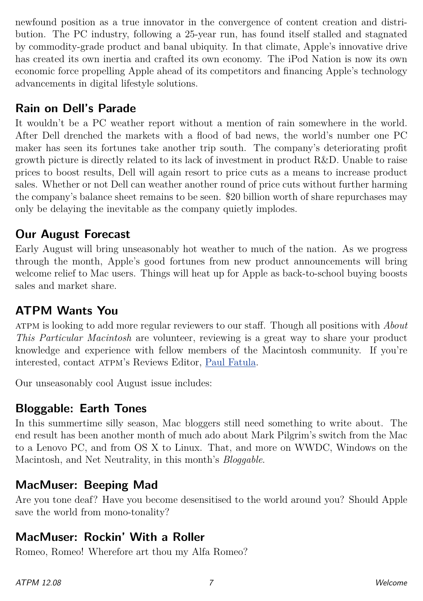newfound position as a true innovator in the convergence of content creation and distribution. The PC industry, following a 25-year run, has found itself stalled and stagnated by commodity-grade product and banal ubiquity. In that climate, Apple's innovative drive has created its own inertia and crafted its own economy. The iPod Nation is now its own economic force propelling Apple ahead of its competitors and financing Apple's technology advancements in digital lifestyle solutions.

### **Rain on Dell's Parade**

It wouldn't be a PC weather report without a mention of rain somewhere in the world. After Dell drenched the markets with a flood of bad news, the world's number one PC maker has seen its fortunes take another trip south. The company's deteriorating profit growth picture is directly related to its lack of investment in product R&D. Unable to raise prices to boost results, Dell will again resort to price cuts as a means to increase product sales. Whether or not Dell can weather another round of price cuts without further harming the company's balance sheet remains to be seen. \$20 billion worth of share repurchases may only be delaying the inevitable as the company quietly implodes.

### **Our August Forecast**

Early August will bring unseasonably hot weather to much of the nation. As we progress through the month, Apple's good fortunes from new product announcements will bring welcome relief to Mac users. Things will heat up for Apple as back-to-school buying boosts sales and market share.

### **ATPM Wants You**

atpm is looking to add more regular reviewers to our staff. Though all positions with *About This Particular Macintosh* are volunteer, reviewing is a great way to share your product knowledge and experience with fellow members of the Macintosh community. If you're interested, contact ATPM's Reviews Editor, [Paul Fatula.](mailto:reviews@atpm.com)

Our unseasonably cool August issue includes:

### **Bloggable: Earth Tones**

In this summertime silly season, Mac bloggers still need something to write about. The end result has been another month of much ado about Mark Pilgrim's switch from the Mac to a Lenovo PC, and from OS X to Linux. That, and more on WWDC, Windows on the Macintosh, and Net Neutrality, in this month's *Bloggable*.

### **MacMuser: Beeping Mad**

Are you tone deaf? Have you become desensitised to the world around you? Should Apple save the world from mono-tonality?

### **MacMuser: Rockin' With a Roller**

Romeo, Romeo! Wherefore art thou my Alfa Romeo?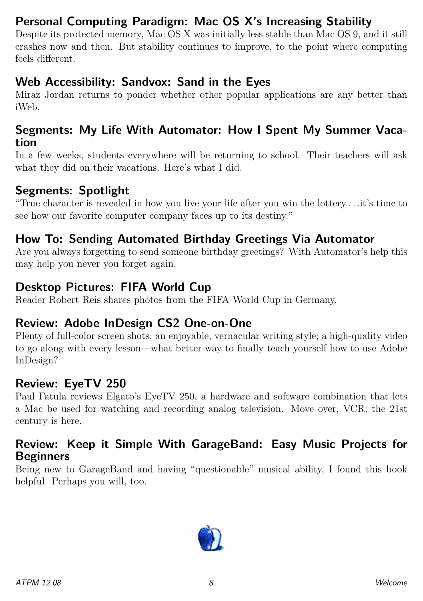### **Personal Computing Paradigm: Mac OS X's Increasing Stability**

Despite its protected memory, Mac OS X was initially less stable than Mac OS 9, and it still crashes now and then. But stability continues to improve, to the point where computing feels different.

### **Web Accessibility: Sandvox: Sand in the Eyes**

Miraz Jordan returns to ponder whether other popular applications are any better than iWeb.

#### **Segments: My Life With Automator: How I Spent My Summer Vacation**

In a few weeks, students everywhere will be returning to school. Their teachers will ask what they did on their vacations. Here's what I did.

### **Segments: Spotlight**

"True character is revealed in how you live your life after you win the lottery.. . .it's time to see how our favorite computer company faces up to its destiny."

### **How To: Sending Automated Birthday Greetings Via Automator**

Are you always forgetting to send someone birthday greetings? With Automator's help this may help you never you forget again.

### **Desktop Pictures: FIFA World Cup**

Reader Robert Reis shares photos from the FIFA World Cup in Germany.

### **Review: Adobe InDesign CS2 One-on-One**

Plenty of full-color screen shots; an enjoyable, vernacular writing style; a high-quality video to go along with every lesson—what better way to finally teach yourself how to use Adobe InDesign?

### **Review: EyeTV 250**

Paul Fatula reviews Elgato's EyeTV 250, a hardware and software combination that lets a Mac be used for watching and recording analog television. Move over, VCR; the 21st century is here.

#### **Review: Keep it Simple With GarageBand: Easy Music Projects for Beginners**

Being new to GarageBand and having "questionable" musical ability, I found this book helpful. Perhaps you will, too.

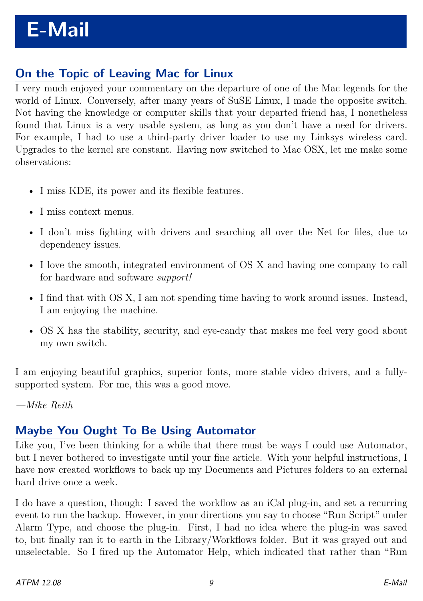### **[On the Topic of Leaving Mac for Linux](http://www.atpm.com/12.08/bloggable.shtml)**

I very much enjoyed your commentary on the departure of one of the Mac legends for the world of Linux. Conversely, after many years of SuSE Linux, I made the opposite switch. Not having the knowledge or computer skills that your departed friend has, I nonetheless found that Linux is a very usable system, as long as you don't have a need for drivers. For example, I had to use a third-party driver loader to use my Linksys wireless card. Upgrades to the kernel are constant. Having now switched to Mac OSX, let me make some observations:

- I miss KDE, its power and its flexible features.
- I miss context menus.
- I don't miss fighting with drivers and searching all over the Net for files, due to dependency issues.
- I love the smooth, integrated environment of OS X and having one company to call for hardware and software *support!*
- I find that with OS X, I am not spending time having to work around issues. Instead, I am enjoying the machine.
- OS X has the stability, security, and eye-candy that makes me feel very good about my own switch.

I am enjoying beautiful graphics, superior fonts, more stable video drivers, and a fullysupported system. For me, this was a good move.

*—Mike Reith*

### **[Maybe You Ought To Be Using Automator](http://www.atpm.com/12.07/automator.shtml)**

Like you, I've been thinking for a while that there must be ways I could use Automator, but I never bothered to investigate until your fine article. With your helpful instructions, I have now created workflows to back up my Documents and Pictures folders to an external hard drive once a week.

I do have a question, though: I saved the workflow as an iCal plug-in, and set a recurring event to run the backup. However, in your directions you say to choose "Run Script" under Alarm Type, and choose the plug-in. First, I had no idea where the plug-in was saved to, but finally ran it to earth in the Library/Workflows folder. But it was grayed out and unselectable. So I fired up the Automator Help, which indicated that rather than "Run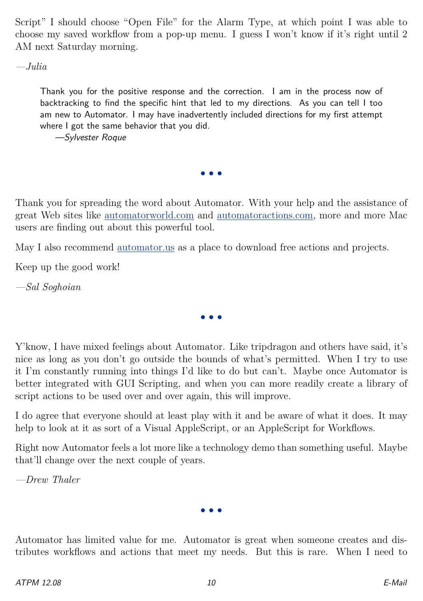Script" I should choose "Open File" for the Alarm Type, at which point I was able to choose my saved workflow from a pop-up menu. I guess I won't know if it's right until 2 AM next Saturday morning.

*—Julia*

Thank you for the positive response and the correction. I am in the process now of backtracking to find the specific hint that led to my directions. As you can tell I too am new to Automator. I may have inadvertently included directions for my first attempt where I got the same behavior that you did.

—Sylvester Roque

Thank you for spreading the word about Automator. With your help and the assistance of great Web sites like [automatorworld.com](http://automatorworld.com) and [automatoractions.com,](http://automatoractions.com) more and more Mac users are finding out about this powerful tool.

• • •

May I also recommend <u>[automator.us](http://automator.us)</u> as a place to download free actions and projects.

Keep up the good work!

*—Sal Soghoian*

Y'know, I have mixed feelings about Automator. Like tripdragon and others have said, it's nice as long as you don't go outside the bounds of what's permitted. When I try to use it I'm constantly running into things I'd like to do but can't. Maybe once Automator is better integrated with GUI Scripting, and when you can more readily create a library of script actions to be used over and over again, this will improve.

• • •

I do agree that everyone should at least play with it and be aware of what it does. It may help to look at it as sort of a Visual AppleScript, or an AppleScript for Workflows.

Right now Automator feels a lot more like a technology demo than something useful. Maybe that'll change over the next couple of years.

*—Drew Thaler*

Automator has limited value for me. Automator is great when someone creates and distributes workflows and actions that meet my needs. But this is rare. When I need to

• • •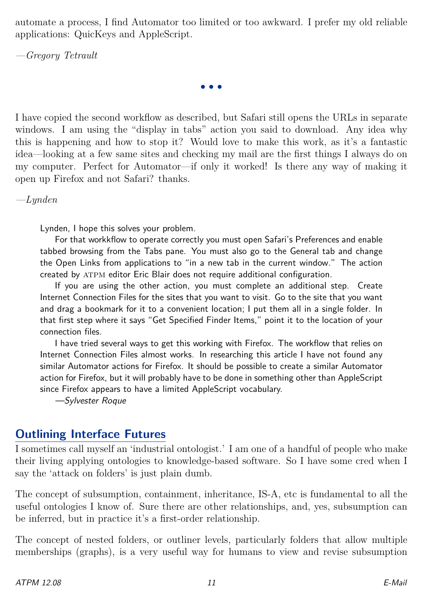automate a process, I find Automator too limited or too awkward. I prefer my old reliable applications: QuicKeys and AppleScript.

*—Gregory Tetrault*

• • •

I have copied the second workflow as described, but Safari still opens the URLs in separate windows. I am using the "display in tabs" action you said to download. Any idea why this is happening and how to stop it? Would love to make this work, as it's a fantastic idea—looking at a few same sites and checking my mail are the first things I always do on my computer. Perfect for Automator—if only it worked! Is there any way of making it open up Firefox and not Safari? thanks.

*—Lynden*

Lynden, I hope this solves your problem.

For that workkflow to operate correctly you must open Safari's Preferences and enable tabbed browsing from the Tabs pane. You must also go to the General tab and change the Open Links from applications to "in a new tab in the current window." The action created by ATPM editor Eric Blair does not require additional configuration.

If you are using the other action, you must complete an additional step. Create Internet Connection Files for the sites that you want to visit. Go to the site that you want and drag a bookmark for it to a convenient location; I put them all in a single folder. In that first step where it says "Get Specified Finder Items," point it to the location of your connection files.

I have tried several ways to get this working with Firefox. The workflow that relies on Internet Connection Files almost works. In researching this article I have not found any similar Automator actions for Firefox. It should be possible to create a similar Automator action for Firefox, but it will probably have to be done in something other than AppleScript since Firefox appears to have a limited AppleScript vocabulary.

—Sylvester Roque

### **[Outlining Interface Futures](http://www.atpm.com/12.07/atpo.shtml)**

I sometimes call myself an 'industrial ontologist.' I am one of a handful of people who make their living applying ontologies to knowledge-based software. So I have some cred when I say the 'attack on folders' is just plain dumb.

The concept of subsumption, containment, inheritance, IS-A, etc is fundamental to all the useful ontologies I know of. Sure there are other relationships, and, yes, subsumption can be inferred, but in practice it's a first-order relationship.

The concept of nested folders, or outliner levels, particularly folders that allow multiple memberships (graphs), is a very useful way for humans to view and revise subsumption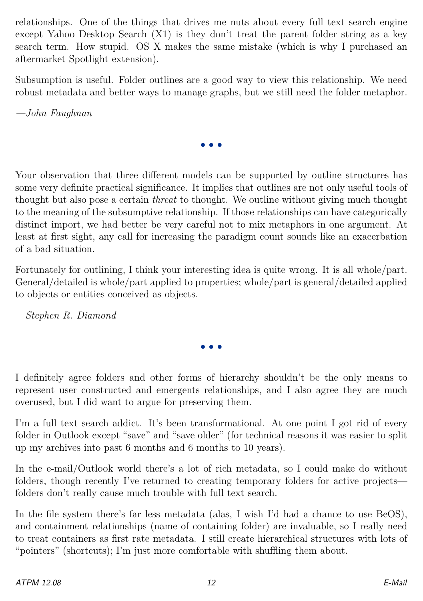relationships. One of the things that drives me nuts about every full text search engine except Yahoo Desktop Search (X1) is they don't treat the parent folder string as a key search term. How stupid. OS X makes the same mistake (which is why I purchased an aftermarket Spotlight extension).

Subsumption is useful. Folder outlines are a good way to view this relationship. We need robust metadata and better ways to manage graphs, but we still need the folder metaphor.

• • •

*—John Faughnan*

Your observation that three different models can be supported by outline structures has some very definite practical significance. It implies that outlines are not only useful tools of thought but also pose a certain *threat* to thought. We outline without giving much thought to the meaning of the subsumptive relationship. If those relationships can have categorically distinct import, we had better be very careful not to mix metaphors in one argument. At least at first sight, any call for increasing the paradigm count sounds like an exacerbation of a bad situation.

Fortunately for outlining, I think your interesting idea is quite wrong. It is all whole/part. General/detailed is whole/part applied to properties; whole/part is general/detailed applied to objects or entities conceived as objects.

*—Stephen R. Diamond*

I definitely agree folders and other forms of hierarchy shouldn't be the only means to represent user constructed and emergents relationships, and I also agree they are much overused, but I did want to argue for preserving them.

• • •

I'm a full text search addict. It's been transformational. At one point I got rid of every folder in Outlook except "save" and "save older" (for technical reasons it was easier to split up my archives into past 6 months and 6 months to 10 years).

In the e-mail/Outlook world there's a lot of rich metadata, so I could make do without folders, though recently I've returned to creating temporary folders for active projects folders don't really cause much trouble with full text search.

In the file system there's far less metadata (alas, I wish I'd had a chance to use BeOS), and containment relationships (name of containing folder) are invaluable, so I really need to treat containers as first rate metadata. I still create hierarchical structures with lots of "pointers" (shortcuts); I'm just more comfortable with shuffling them about.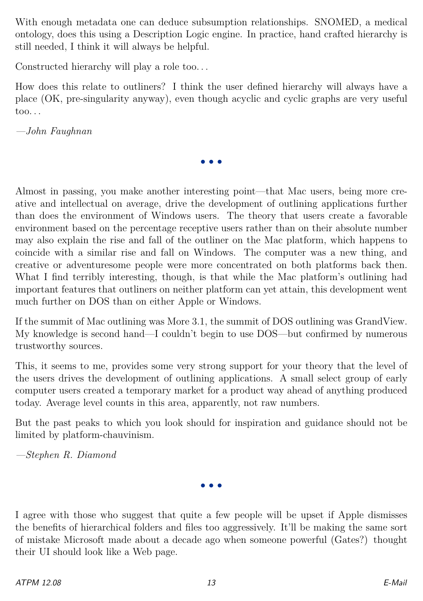With enough metadata one can deduce subsumption relationships. SNOMED, a medical ontology, does this using a Description Logic engine. In practice, hand crafted hierarchy is still needed, I think it will always be helpful.

Constructed hierarchy will play a role too. . .

How does this relate to outliners? I think the user defined hierarchy will always have a place (OK, pre-singularity anyway), even though acyclic and cyclic graphs are very useful  $\mathrm{too} \dots$ 

• • •

*—John Faughnan*

Almost in passing, you make another interesting point—that Mac users, being more creative and intellectual on average, drive the development of outlining applications further than does the environment of Windows users. The theory that users create a favorable environment based on the percentage receptive users rather than on their absolute number may also explain the rise and fall of the outliner on the Mac platform, which happens to coincide with a similar rise and fall on Windows. The computer was a new thing, and creative or adventuresome people were more concentrated on both platforms back then. What I find terribly interesting, though, is that while the Mac platform's outlining had important features that outliners on neither platform can yet attain, this development went much further on DOS than on either Apple or Windows.

If the summit of Mac outlining was More 3.1, the summit of DOS outlining was GrandView. My knowledge is second hand—I couldn't begin to use DOS—but confirmed by numerous trustworthy sources.

This, it seems to me, provides some very strong support for your theory that the level of the users drives the development of outlining applications. A small select group of early computer users created a temporary market for a product way ahead of anything produced today. Average level counts in this area, apparently, not raw numbers.

But the past peaks to which you look should for inspiration and guidance should not be limited by platform-chauvinism.

*—Stephen R. Diamond*

• • •

I agree with those who suggest that quite a few people will be upset if Apple dismisses the benefits of hierarchical folders and files too aggressively. It'll be making the same sort of mistake Microsoft made about a decade ago when someone powerful (Gates?) thought their UI should look like a Web page.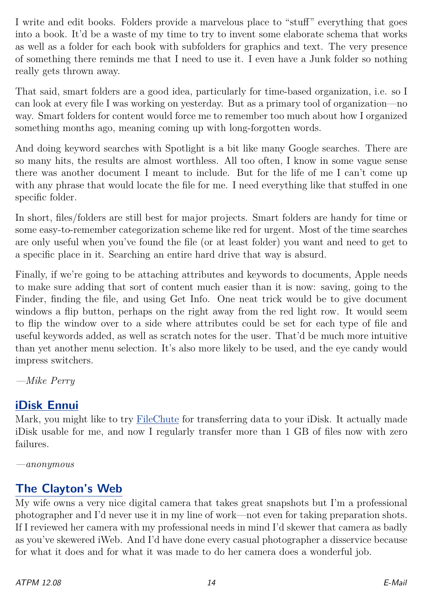I write and edit books. Folders provide a marvelous place to "stuff" everything that goes into a book. It'd be a waste of my time to try to invent some elaborate schema that works as well as a folder for each book with subfolders for graphics and text. The very presence of something there reminds me that I need to use it. I even have a Junk folder so nothing really gets thrown away.

That said, smart folders are a good idea, particularly for time-based organization, i.e. so I can look at every file I was working on yesterday. But as a primary tool of organization—no way. Smart folders for content would force me to remember too much about how I organized something months ago, meaning coming up with long-forgotten words.

And doing keyword searches with Spotlight is a bit like many Google searches. There are so many hits, the results are almost worthless. All too often, I know in some vague sense there was another document I meant to include. But for the life of me I can't come up with any phrase that would locate the file for me. I need everything like that stuffed in one specific folder.

In short, files/folders are still best for major projects. Smart folders are handy for time or some easy-to-remember categorization scheme like red for urgent. Most of the time searches are only useful when you've found the file (or at least folder) you want and need to get to a specific place in it. Searching an entire hard drive that way is absurd.

Finally, if we're going to be attaching attributes and keywords to documents, Apple needs to make sure adding that sort of content much easier than it is now: saving, going to the Finder, finding the file, and using Get Info. One neat trick would be to give document windows a flip button, perhaps on the right away from the red light row. It would seem to flip the window over to a side where attributes could be set for each type of file and useful keywords added, as well as scratch notes for the user. That'd be much more intuitive than yet another menu selection. It's also more likely to be used, and the eye candy would impress switchers.

*—Mike Perry*

### **[iDisk Ennui](http://www.atpm.com/12.06/macmuser-idisk.shtml)**

Mark, you might like to try [FileChute](http://www.yellowmug.com/filechute/) for transferring data to your iDisk. It actually made iDisk usable for me, and now I regularly transfer more than 1 GB of files now with zero failures.

*—anonymous*

### **[The Clayton's Web](http://www.atpm.com/12.07/web-accessibility.shtml)**

My wife owns a very nice digital camera that takes great snapshots but I'm a professional photographer and I'd never use it in my line of work—not even for taking preparation shots. If I reviewed her camera with my professional needs in mind I'd skewer that camera as badly as you've skewered iWeb. And I'd have done every casual photographer a disservice because for what it does and for what it was made to do her camera does a wonderful job.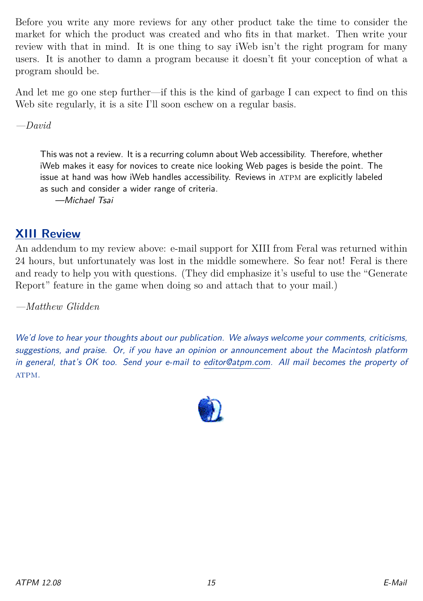Before you write any more reviews for any other product take the time to consider the market for which the product was created and who fits in that market. Then write your review with that in mind. It is one thing to say iWeb isn't the right program for many users. It is another to damn a program because it doesn't fit your conception of what a program should be.

And let me go one step further—if this is the kind of garbage I can expect to find on this Web site regularly, it is a site I'll soon eschew on a regular basis.

*—David*

This was not a review. It is a recurring column about Web accessibility. Therefore, whether iWeb makes it easy for novices to create nice looking Web pages is beside the point. The issue at hand was how iWeb handles accessibility. Reviews in ATPM are explicitly labeled as such and consider a wider range of criteria. —Michael Tsai

#### **[XIII Review](http://www.atpm.com/12.07/xiii.shtml)**

An addendum to my review above: e-mail support for XIII from Feral was returned within 24 hours, but unfortunately was lost in the middle somewhere. So fear not! Feral is there and ready to help you with questions. (They did emphasize it's useful to use the "Generate Report" feature in the game when doing so and attach that to your mail.)

*—Matthew Glidden*

We'd love to hear your thoughts about our publication. We always welcome your comments, criticisms, suggestions, and praise. Or, if you have an opinion or announcement about the Macintosh platform in general, that's OK too. Send your e-mail to [editor@atpm.com.](mailto:editor@atpm.com) All mail becomes the property of ATPM.

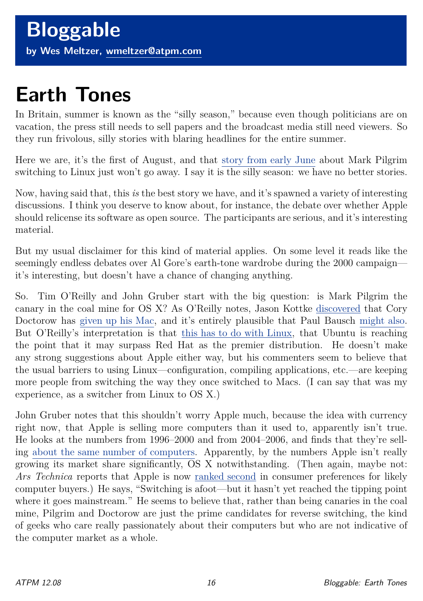### **Earth Tones**

In Britain, summer is known as the "silly season," because even though politicians are on vacation, the press still needs to sell papers and the broadcast media still need viewers. So they run frivolous, silly stories with blaring headlines for the entire summer.

Here we are, it's the first of August, and that [story from early June](http://www.atpm.com/12.07/bloggable.shtml) about Mark Pilgrim switching to Linux just won't go away. I say it is the silly season: we have no better stories.

Now, having said that, this *is* the best story we have, and it's spawned a variety of interesting discussions. I think you deserve to know about, for instance, the debate over whether Apple should relicense its software as open source. The participants are serious, and it's interesting material.

But my usual disclaimer for this kind of material applies. On some level it reads like the seemingly endless debates over Al Gore's earth-tone wardrobe during the 2000 campaign it's interesting, but doesn't have a chance of changing anything.

So. Tim O'Reilly and John Gruber start with the big question: is Mark Pilgrim the canary in the coal mine for OS X? As O'Reilly notes, Jason Kottke [discovered](http://www.kottke.org/remainder/06/06/11361.html) that Cory Doctorow has [given up his Mac,](http://www.boingboing.net/2006/06/29/mark_pilgrims_list_o.html) and it's entirely plausible that Paul Bausch [might also.](http://www.onfocus.com/2006/06/3811) But O'Reilly's interpretation is that [this has to do with Linux,](http://radar.oreilly.com/archives/2006/06/ubuntu_linux_a_threat_to_mac_o.html) that Ubuntu is reaching the point that it may surpass Red Hat as the premier distribution. He doesn't make any strong suggestions about Apple either way, but his commenters seem to believe that the usual barriers to using Linux—configuration, compiling applications, etc.—are keeping more people from switching the way they once switched to Macs. (I can say that was my experience, as a switcher from Linux to OS X.)

John Gruber notes that this shouldn't worry Apple much, because the idea with currency right now, that Apple is selling more computers than it used to, apparently isn't true. He looks at the numbers from 1996–2000 and from 2004–2006, and finds that they're selling [about the same number of computers.](http://daringfireball.net/2006/07/mac_os_x_tipping_point) Apparently, by the numbers Apple isn't really growing its market share significantly, OS X notwithstanding. (Then again, maybe not: *Ars Technica* reports that Apple is now [ranked second](http://arstechnica.com/journals/apple.ars/2006/7/8/4569) in consumer preferences for likely computer buyers.) He says, "Switching is afoot—but it hasn't yet reached the tipping point where it goes mainstream." He seems to believe that, rather than being canaries in the coal mine, Pilgrim and Doctorow are just the prime candidates for reverse switching, the kind of geeks who care really passionately about their computers but who are not indicative of the computer market as a whole.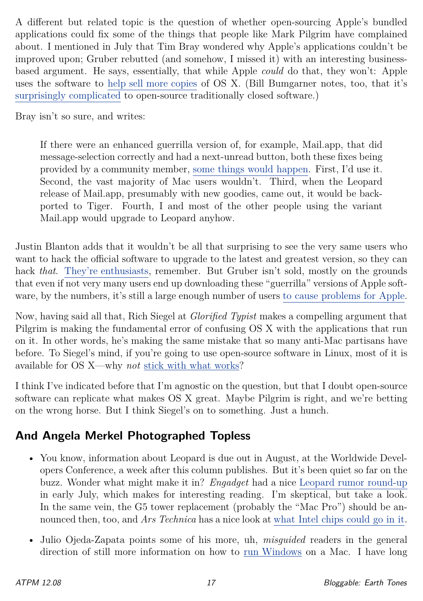A different but related topic is the question of whether open-sourcing Apple's bundled applications could fix some of the things that people like Mark Pilgrim have complained about. I mentioned in July that Tim Bray wondered why Apple's applications couldn't be improved upon; Gruber rebutted (and somehow, I missed it) with an interesting businessbased argument. He says, essentially, that while Apple *could* do that, they won't: Apple uses the software to [help sell more copies](http://daringfireball.net/2006/06/apple_open_source) of OS X. (Bill Bumgarner notes, too, that it's [surprisingly complicated](http://www.friday.com/bbum/2006/07/15/open-sourcing-is-not-easy/) to open-source traditionally closed software.)

Bray isn't so sure, and writes:

If there were an enhanced guerrilla version of, for example, Mail.app, that did message-selection correctly and had a next-unread button, both these fixes being provided by a community member, [some things would happen.](http://www.tbray.org/ongoing/When/200x/2006/06/20/Apple-Open-Source) First, I'd use it. Second, the vast majority of Mac users wouldn't. Third, when the Leopard release of Mail.app, presumably with new goodies, came out, it would be backported to Tiger. Fourth, I and most of the other people using the variant Mail.app would upgrade to Leopard anyhow.

Justin Blanton adds that it wouldn't be all that surprising to see the very same users who want to hack the official software to upgrade to the latest and greatest version, so they can hack *that*. [They're enthusiasts,](http://justinblanton.com/2006/06/everybody-upgrades) remember. But Gruber isn't sold, mostly on the grounds that even if not very many users end up downloading these "guerrilla" versions of Apple software, by the numbers, it's still a large enough number of users [to cause problems for Apple.](http://daringfireball.net/2006/07/mr_jimmy)

Now, having said all that, Rich Siegel at *Glorified Typist* makes a compelling argument that Pilgrim is making the fundamental error of confusing OS X with the applications that run on it. In other words, he's making the same mistake that so many anti-Mac partisans have before. To Siegel's mind, if you're going to use open-source software in Linux, most of it is available for OS X—why *not* [stick with what works?](http://www.glorifiedtypist.com/2006/07/its_allhhhonly_about_the_apps_1.html)

I think I've indicated before that I'm agnostic on the question, but that I doubt open-source software can replicate what makes OS X great. Maybe Pilgrim is right, and we're betting on the wrong horse. But I think Siegel's on to something. Just a hunch.

### **And Angela Merkel Photographed Topless**

- You know, information about Leopard is due out in August, at the Worldwide Developers Conference, a week after this column publishes. But it's been quiet so far on the buzz. Wonder what might make it in? *Engadget* had a nice [Leopard rumor round-up](http://www.engadget.com/2006/07/01/leopard-rumor-roundup/) in early July, which makes for interesting reading. I'm skeptical, but take a look. In the same vein, the G5 tower replacement (probably the "Mac Pro") should be announced then, too, and *Ars Technica* has a nice look at [what Intel chips could go in it.](http://arstechnica.com/articles/paedia/hardware/promacs.ars)
- Julio Ojeda-Zapata points some of his more, uh, *misguided* readers in the general direction of still more information on how to [run Windows](http://yourtech.typepad.com/main/2006/07/codeweavers_get.html) on a Mac. I have long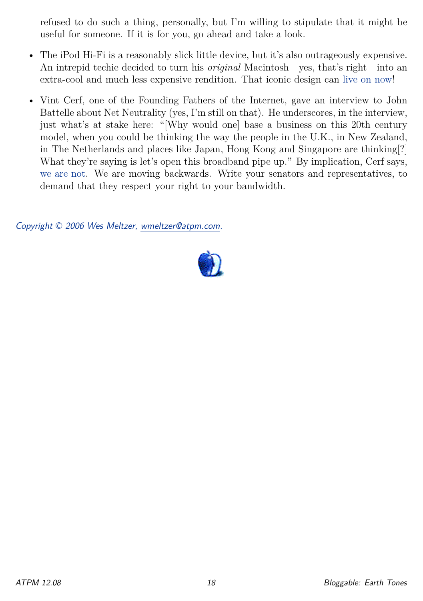refused to do such a thing, personally, but I'm willing to stipulate that it might be useful for someone. If it is for you, go ahead and take a look.

- The iPod Hi-Fi is a reasonably slick little device, but it's also outrageously expensive. An intrepid techie decided to turn his *original* Macintosh—yes, that's right—into an extra-cool and much less expensive rendition. That iconic design can [live on now!](http://homepage.mac.com/arawaksolutions/)
- Vint Cerf, one of the Founding Fathers of the Internet, gave an interview to John Battelle about Net Neutrality (yes, I'm still on that). He underscores, in the interview, just what's at stake here: "[Why would one] base a business on this 20th century model, when you could be thinking the way the people in the U.K., in New Zealand, in The Netherlands and places like Japan, Hong Kong and Singapore are thinking[?] What they're saying is let's open this broadband pipe up." By implication, Cerf says, [we are not.](http://battellemedia.com/archives/002725.php) We are moving backwards. Write your senators and representatives, to demand that they respect your right to your bandwidth.

Copyright © 2006 Wes Meltzer, [wmeltzer@atpm.com.](mailto:wmeltzer@atpm.com)

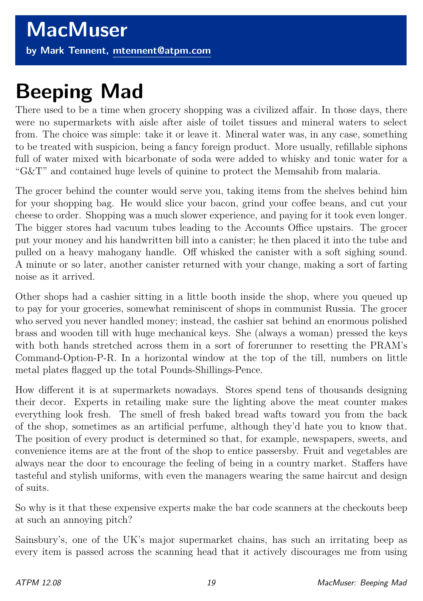### **Beeping Mad**

There used to be a time when grocery shopping was a civilized affair. In those days, there were no supermarkets with aisle after aisle of toilet tissues and mineral waters to select from. The choice was simple: take it or leave it. Mineral water was, in any case, something to be treated with suspicion, being a fancy foreign product. More usually, refillable siphons full of water mixed with bicarbonate of soda were added to whisky and tonic water for a "G&T" and contained huge levels of quinine to protect the Memsahib from malaria.

The grocer behind the counter would serve you, taking items from the shelves behind him for your shopping bag. He would slice your bacon, grind your coffee beans, and cut your cheese to order. Shopping was a much slower experience, and paying for it took even longer. The bigger stores had vacuum tubes leading to the Accounts Office upstairs. The grocer put your money and his handwritten bill into a canister; he then placed it into the tube and pulled on a heavy mahogany handle. Off whisked the canister with a soft sighing sound. A minute or so later, another canister returned with your change, making a sort of farting noise as it arrived.

Other shops had a cashier sitting in a little booth inside the shop, where you queued up to pay for your groceries, somewhat reminiscent of shops in communist Russia. The grocer who served you never handled money; instead, the cashier sat behind an enormous polished brass and wooden till with huge mechanical keys. She (always a woman) pressed the keys with both hands stretched across them in a sort of forerunner to resetting the PRAM's Command-Option-P-R. In a horizontal window at the top of the till, numbers on little metal plates flagged up the total Pounds-Shillings-Pence.

How different it is at supermarkets nowadays. Stores spend tens of thousands designing their decor. Experts in retailing make sure the lighting above the meat counter makes everything look fresh. The smell of fresh baked bread wafts toward you from the back of the shop, sometimes as an artificial perfume, although they'd hate you to know that. The position of every product is determined so that, for example, newspapers, sweets, and convenience items are at the front of the shop to entice passersby. Fruit and vegetables are always near the door to encourage the feeling of being in a country market. Staffers have tasteful and stylish uniforms, with even the managers wearing the same haircut and design of suits.

So why is it that these expensive experts make the bar code scanners at the checkouts beep at such an annoying pitch?

Sainsbury's, one of the UK's major supermarket chains, has such an irritating beep as every item is passed across the scanning head that it actively discourages me from using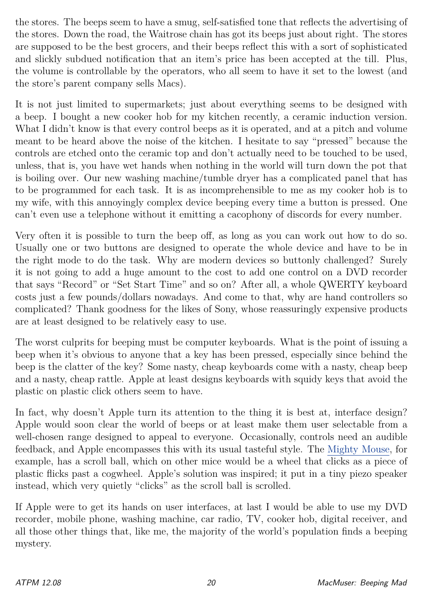the stores. The beeps seem to have a smug, self-satisfied tone that reflects the advertising of the stores. Down the road, the Waitrose chain has got its beeps just about right. The stores are supposed to be the best grocers, and their beeps reflect this with a sort of sophisticated and slickly subdued notification that an item's price has been accepted at the till. Plus, the volume is controllable by the operators, who all seem to have it set to the lowest (and the store's parent company sells Macs).

It is not just limited to supermarkets; just about everything seems to be designed with a beep. I bought a new cooker hob for my kitchen recently, a ceramic induction version. What I didn't know is that every control beeps as it is operated, and at a pitch and volume meant to be heard above the noise of the kitchen. I hesitate to say "pressed" because the controls are etched onto the ceramic top and don't actually need to be touched to be used, unless, that is, you have wet hands when nothing in the world will turn down the pot that is boiling over. Our new washing machine/tumble dryer has a complicated panel that has to be programmed for each task. It is as incomprehensible to me as my cooker hob is to my wife, with this annoyingly complex device beeping every time a button is pressed. One can't even use a telephone without it emitting a cacophony of discords for every number.

Very often it is possible to turn the beep off, as long as you can work out how to do so. Usually one or two buttons are designed to operate the whole device and have to be in the right mode to do the task. Why are modern devices so buttonly challenged? Surely it is not going to add a huge amount to the cost to add one control on a DVD recorder that says "Record" or "Set Start Time" and so on? After all, a whole QWERTY keyboard costs just a few pounds/dollars nowadays. And come to that, why are hand controllers so complicated? Thank goodness for the likes of Sony, whose reassuringly expensive products are at least designed to be relatively easy to use.

The worst culprits for beeping must be computer keyboards. What is the point of issuing a beep when it's obvious to anyone that a key has been pressed, especially since behind the beep is the clatter of the key? Some nasty, cheap keyboards come with a nasty, cheap beep and a nasty, cheap rattle. Apple at least designs keyboards with squidy keys that avoid the plastic on plastic click others seem to have.

In fact, why doesn't Apple turn its attention to the thing it is best at, interface design? Apple would soon clear the world of beeps or at least make them user selectable from a well-chosen range designed to appeal to everyone. Occasionally, controls need an audible feedback, and Apple encompasses this with its usual tasteful style. The [Mighty Mouse,](http://www.atpm.com/11.09/mighty-mouse.shtml) for example, has a scroll ball, which on other mice would be a wheel that clicks as a piece of plastic flicks past a cogwheel. Apple's solution was inspired; it put in a tiny piezo speaker instead, which very quietly "clicks" as the scroll ball is scrolled.

If Apple were to get its hands on user interfaces, at last I would be able to use my DVD recorder, mobile phone, washing machine, car radio, TV, cooker hob, digital receiver, and all those other things that, like me, the majority of the world's population finds a beeping mystery.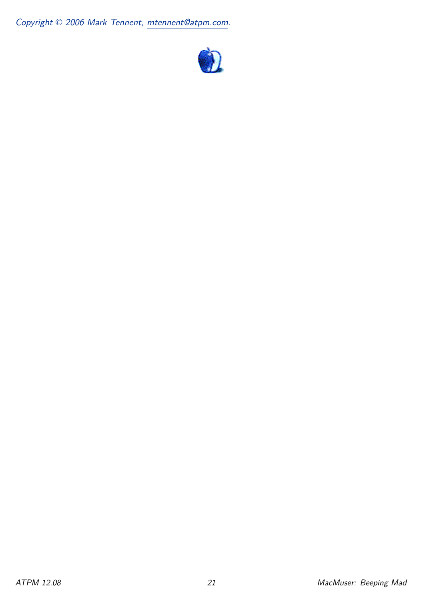Copyright © 2006 Mark Tennent, [mtennent@atpm.com.](mailto:mtennent@atpm.com)

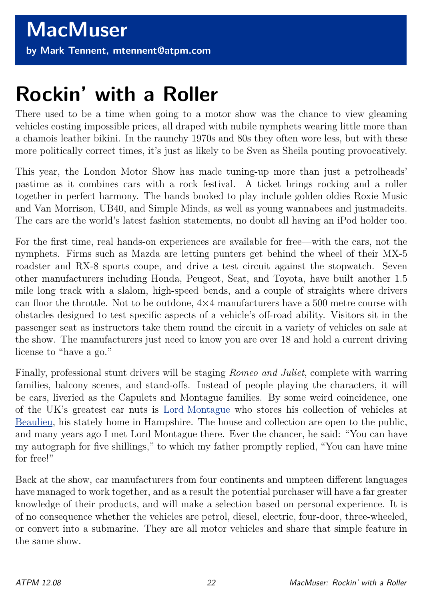### **Rockin' with a Roller**

There used to be a time when going to a motor show was the chance to view gleaming vehicles costing impossible prices, all draped with nubile nymphets wearing little more than a chamois leather bikini. In the raunchy 1970s and 80s they often wore less, but with these more politically correct times, it's just as likely to be Sven as Sheila pouting provocatively.

This year, the London Motor Show has made tuning-up more than just a petrolheads' pastime as it combines cars with a rock festival. A ticket brings rocking and a roller together in perfect harmony. The bands booked to play include golden oldies Roxie Music and Van Morrison, UB40, and Simple Minds, as well as young wannabees and justmadeits. The cars are the world's latest fashion statements, no doubt all having an iPod holder too.

For the first time, real hands-on experiences are available for free—with the cars, not the nymphets. Firms such as Mazda are letting punters get behind the wheel of their MX-5 roadster and RX-8 sports coupe, and drive a test circuit against the stopwatch. Seven other manufacturers including Honda, Peugeot, Seat, and Toyota, have built another 1.5 mile long track with a slalom, high-speed bends, and a couple of straights where drivers can floor the throttle. Not to be outdone,  $4\times4$  manufacturers have a 500 metre course with obstacles designed to test specific aspects of a vehicle's off-road ability. Visitors sit in the passenger seat as instructors take them round the circuit in a variety of vehicles on sale at the show. The manufacturers just need to know you are over 18 and hold a current driving license to "have a go."

Finally, professional stunt drivers will be staging *Romeo and Juliet*, complete with warring families, balcony scenes, and stand-offs. Instead of people playing the characters, it will be cars, liveried as the Capulets and Montague families. By some weird coincidence, one of the UK's greatest car nuts is [Lord Montague](http://www.speedace.info/lord_montague.htm) who stores his collection of vehicles at [Beaulieu,](http://www.beaulieu.co.uk) his stately home in Hampshire. The house and collection are open to the public, and many years ago I met Lord Montague there. Ever the chancer, he said: "You can have my autograph for five shillings," to which my father promptly replied, "You can have mine for free!"

Back at the show, car manufacturers from four continents and umpteen different languages have managed to work together, and as a result the potential purchaser will have a far greater knowledge of their products, and will make a selection based on personal experience. It is of no consequence whether the vehicles are petrol, diesel, electric, four-door, three-wheeled, or convert into a submarine. They are all motor vehicles and share that simple feature in the same show.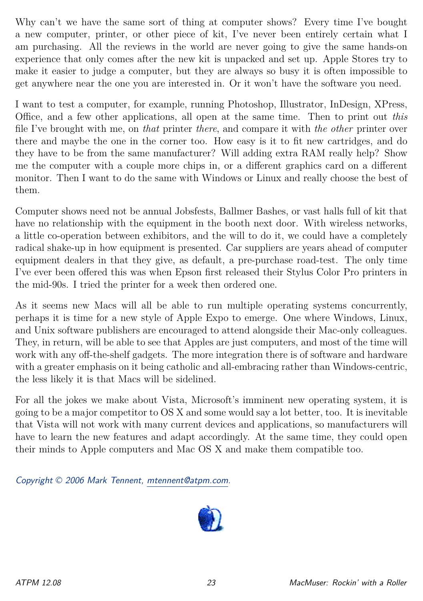Why can't we have the same sort of thing at computer shows? Every time I've bought a new computer, printer, or other piece of kit, I've never been entirely certain what I am purchasing. All the reviews in the world are never going to give the same hands-on experience that only comes after the new kit is unpacked and set up. Apple Stores try to make it easier to judge a computer, but they are always so busy it is often impossible to get anywhere near the one you are interested in. Or it won't have the software you need.

I want to test a computer, for example, running Photoshop, Illustrator, InDesign, XPress, Office, and a few other applications, all open at the same time. Then to print out *this* file I've brought with me, on *that* printer *there*, and compare it with *the other* printer over there and maybe the one in the corner too. How easy is it to fit new cartridges, and do they have to be from the same manufacturer? Will adding extra RAM really help? Show me the computer with a couple more chips in, or a different graphics card on a different monitor. Then I want to do the same with Windows or Linux and really choose the best of them.

Computer shows need not be annual Jobsfests, Ballmer Bashes, or vast halls full of kit that have no relationship with the equipment in the booth next door. With wireless networks, a little co-operation between exhibitors, and the will to do it, we could have a completely radical shake-up in how equipment is presented. Car suppliers are years ahead of computer equipment dealers in that they give, as default, a pre-purchase road-test. The only time I've ever been offered this was when Epson first released their Stylus Color Pro printers in the mid-90s. I tried the printer for a week then ordered one.

As it seems new Macs will all be able to run multiple operating systems concurrently, perhaps it is time for a new style of Apple Expo to emerge. One where Windows, Linux, and Unix software publishers are encouraged to attend alongside their Mac-only colleagues. They, in return, will be able to see that Apples are just computers, and most of the time will work with any off-the-shelf gadgets. The more integration there is of software and hardware with a greater emphasis on it being catholic and all-embracing rather than Windows-centric, the less likely it is that Macs will be sidelined.

For all the jokes we make about Vista, Microsoft's imminent new operating system, it is going to be a major competitor to OS X and some would say a lot better, too. It is inevitable that Vista will not work with many current devices and applications, so manufacturers will have to learn the new features and adapt accordingly. At the same time, they could open their minds to Apple computers and Mac OS X and make them compatible too.

Copyright © 2006 Mark Tennent, [mtennent@atpm.com.](mailto:mtennent@atpm.com)

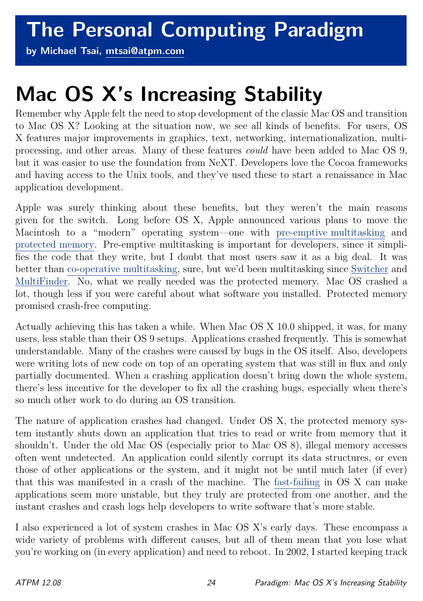**by Michael Tsai, [mtsai@atpm.com](mailto:mtsai@atpm.com)**

### **Mac OS X's Increasing Stability**

Remember why Apple felt the need to stop development of the classic Mac OS and transition to Mac OS X? Looking at the situation now, we see all kinds of benefits. For users, OS X features major improvements in graphics, text, networking, internationalization, multiprocessing, and other areas. Many of these features *could* have been added to Mac OS 9, but it was easier to use the foundation from NeXT. Developers love the Cocoa frameworks and having access to the Unix tools, and they've used these to start a renaissance in Mac application development.

Apple was surely thinking about these benefits, but they weren't the main reasons given for the switch. Long before OS X, Apple announced various plans to move the Macintosh to a "modern" operating system—one with [pre-emptive multitasking](http://en.wikipedia.org/wiki/Pre-emptive_multi-tasking) and [protected memory.](http://en.wikipedia.org/wiki/Protected_memory) Pre-emptive multitasking is important for developers, since it simplifies the code that they write, but I doubt that most users saw it as a big deal. It was better than [co-operative multitasking,](http://en.wikipedia.org/wiki/Cooperative_multitasking) sure, but we'd been multitasking since [Switcher](http://www.folklore.org/StoryView.py?project=Macintosh&story=Switcher.txt&sortOrder=Sort+by+Date) and [MultiFinder.](http://blog.wired.com/apple_os/index.album?i=6) No, what we really needed was the protected memory. Mac OS crashed a lot, though less if you were careful about what software you installed. Protected memory promised crash-free computing.

Actually achieving this has taken a while. When Mac OS X 10.0 shipped, it was, for many users, less stable than their OS 9 setups. Applications crashed frequently. This is somewhat understandable. Many of the crashes were caused by bugs in the OS itself. Also, developers were writing lots of new code on top of an operating system that was still in flux and only partially documented. When a crashing application doesn't bring down the whole system, there's less incentive for the developer to fix all the crashing bugs, especially when there's so much other work to do during an OS transition.

The nature of application crashes had changed. Under OS X, the protected memory system instantly shuts down an application that tries to read or write from memory that it shouldn't. Under the old Mac OS (especially prior to Mac OS 8), illegal memory accesses often went undetected. An application could silently corrupt its data structures, or even those of other applications or the system, and it might not be until much later (if ever) that this was manifested in a crash of the machine. The [fast-failing](http://en.wikipedia.org/wiki/Fail_Fast) in OS X can make applications seem more unstable, but they truly are protected from one another, and the instant crashes and crash logs help developers to write software that's more stable.

I also experienced a lot of system crashes in Mac OS X's early days. These encompass a wide variety of problems with different causes, but all of them mean that you lose what you're working on (in every application) and need to reboot. In 2002, I started keeping track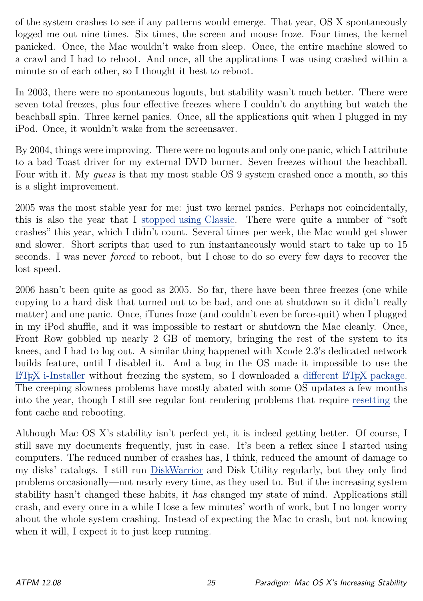of the system crashes to see if any patterns would emerge. That year, OS X spontaneously logged me out nine times. Six times, the screen and mouse froze. Four times, the kernel panicked. Once, the Mac wouldn't wake from sleep. Once, the entire machine slowed to a crawl and I had to reboot. And once, all the applications I was using crashed within a minute so of each other, so I thought it best to reboot.

In 2003, there were no spontaneous logouts, but stability wasn't much better. There were seven total freezes, plus four effective freezes where I couldn't do anything but watch the beachball spin. Three kernel panics. Once, all the applications quit when I plugged in my iPod. Once, it wouldn't wake from the screensaver.

By 2004, things were improving. There were no logouts and only one panic, which I attribute to a bad Toast driver for my external DVD burner. Seven freezes without the beachball. Four with it. My *guess* is that my most stable OS 9 system crashed once a month, so this is a slight improvement.

2005 was the most stable year for me: just two kernel panics. Perhaps not coincidentally, this is also the year that I [stopped using Classic.](http://www.atpm.com/11.07/publishersletter.shtml) There were quite a number of "soft crashes" this year, which I didn't count. Several times per week, the Mac would get slower and slower. Short scripts that used to run instantaneously would start to take up to 15 seconds. I was never *forced* to reboot, but I chose to do so every few days to recover the lost speed.

2006 hasn't been quite as good as 2005. So far, there have been three freezes (one while copying to a hard disk that turned out to be bad, and one at shutdown so it didn't really matter) and one panic. Once, iTunes froze (and couldn't even be force-quit) when I plugged in my iPod shuffle, and it was impossible to restart or shutdown the Mac cleanly. Once, Front Row gobbled up nearly 2 GB of memory, bringing the rest of the system to its knees, and I had to log out. A similar thing happened with Xcode 2.3's dedicated network builds feature, until I disabled it. And a bug in the OS made it impossible to use the  $\Delta E$  i-Installer without freezing the system, so I downloaded a different  $\Delta E$ <sub>E</sub>X package. The creeping slowness problems have mostly abated with some OS updates a few months into the year, though I still see regular font rendering problems that require [resetting](http://www.bresink.com/osx/TinkerToolSys.html) the font cache and rebooting.

Although Mac OS X's stability isn't perfect yet, it is indeed getting better. Of course, I still save my documents frequently, just in case. It's been a reflex since I started using computers. The reduced number of crashes has, I think, reduced the amount of damage to my disks' catalogs. I still run [DiskWarrior](http://www.atpm.com/6.03/diskwarrior.shtml) and Disk Utility regularly, but they only find problems occasionally—not nearly every time, as they used to. But if the increasing system stability hasn't changed these habits, it *has* changed my state of mind. Applications still crash, and every once in a while I lose a few minutes' worth of work, but I no longer worry about the whole system crashing. Instead of expecting the Mac to crash, but not knowing when it will, I expect it to just keep running.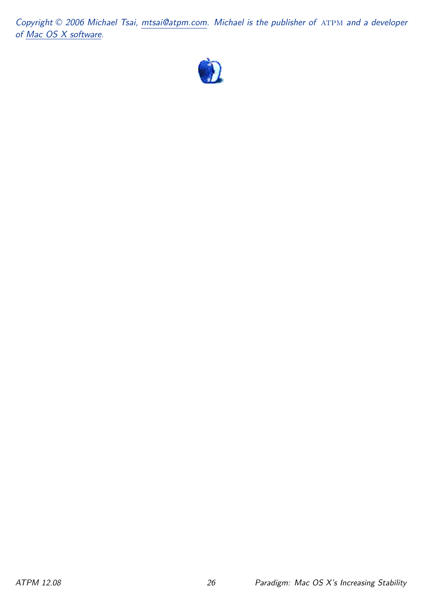Copyright © 2006 Michael Tsai, [mtsai@atpm.com.](mailto:mtsai@atpm.com) Michael is the publisher of ATPM and a developer of [Mac OS X software.](http://c-command.com/)

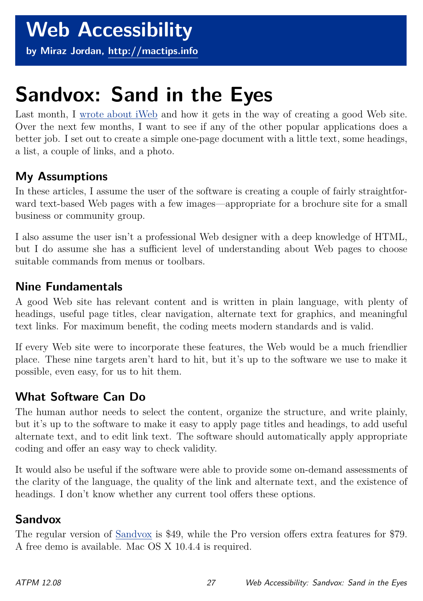**by Miraz Jordan,<http://mactips.info>**

### **Sandvox: Sand in the Eyes**

Last month, I [wrote about iWeb](http://www.atpm.com/12.07/Web-accessibility.shtml) and how it gets in the way of creating a good Web site. Over the next few months, I want to see if any of the other popular applications does a better job. I set out to create a simple one-page document with a little text, some headings, a list, a couple of links, and a photo.

### **My Assumptions**

In these articles, I assume the user of the software is creating a couple of fairly straightforward text-based Web pages with a few images—appropriate for a brochure site for a small business or community group.

I also assume the user isn't a professional Web designer with a deep knowledge of HTML, but I do assume she has a sufficient level of understanding about Web pages to choose suitable commands from menus or toolbars.

#### **Nine Fundamentals**

A good Web site has relevant content and is written in plain language, with plenty of headings, useful page titles, clear navigation, alternate text for graphics, and meaningful text links. For maximum benefit, the coding meets modern standards and is valid.

If every Web site were to incorporate these features, the Web would be a much friendlier place. These nine targets aren't hard to hit, but it's up to the software we use to make it possible, even easy, for us to hit them.

### **What Software Can Do**

The human author needs to select the content, organize the structure, and write plainly, but it's up to the software to make it easy to apply page titles and headings, to add useful alternate text, and to edit link text. The software should automatically apply appropriate coding and offer an easy way to check validity.

It would also be useful if the software were able to provide some on-demand assessments of the clarity of the language, the quality of the link and alternate text, and the existence of headings. I don't know whether any current tool offers these options.

### **Sandvox**

The regular version of [Sandvox](http://www.karelia.com) is \$49, while the Pro version offers extra features for \$79. A free demo is available. Mac OS X 10.4.4 is required.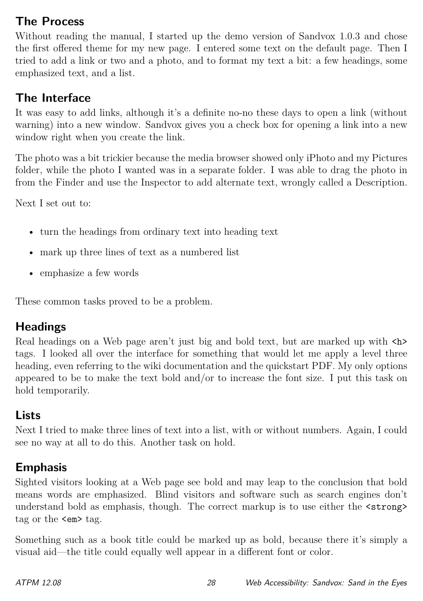### **The Process**

Without reading the manual, I started up the demo version of Sandvox 1.0.3 and chose the first offered theme for my new page. I entered some text on the default page. Then I tried to add a link or two and a photo, and to format my text a bit: a few headings, some emphasized text, and a list.

### **The Interface**

It was easy to add links, although it's a definite no-no these days to open a link (without warning) into a new window. Sandvox gives you a check box for opening a link into a new window right when you create the link.

The photo was a bit trickier because the media browser showed only iPhoto and my Pictures folder, while the photo I wanted was in a separate folder. I was able to drag the photo in from the Finder and use the Inspector to add alternate text, wrongly called a Description.

Next I set out to:

- turn the headings from ordinary text into heading text
- mark up three lines of text as a numbered list
- emphasize a few words

These common tasks proved to be a problem.

### **Headings**

Real headings on a Web page aren't just big and bold text, but are marked up with  $\langle h \rangle$ tags. I looked all over the interface for something that would let me apply a level three heading, even referring to the wiki documentation and the quickstart PDF. My only options appeared to be to make the text bold and/or to increase the font size. I put this task on hold temporarily.

### **Lists**

Next I tried to make three lines of text into a list, with or without numbers. Again, I could see no way at all to do this. Another task on hold.

### **Emphasis**

Sighted visitors looking at a Web page see bold and may leap to the conclusion that bold means words are emphasized. Blind visitors and software such as search engines don't understand bold as emphasis, though. The correct markup is to use either the  $\langle$ strong> tag or the **<em**> tag.

Something such as a book title could be marked up as bold, because there it's simply a visual aid—the title could equally well appear in a different font or color.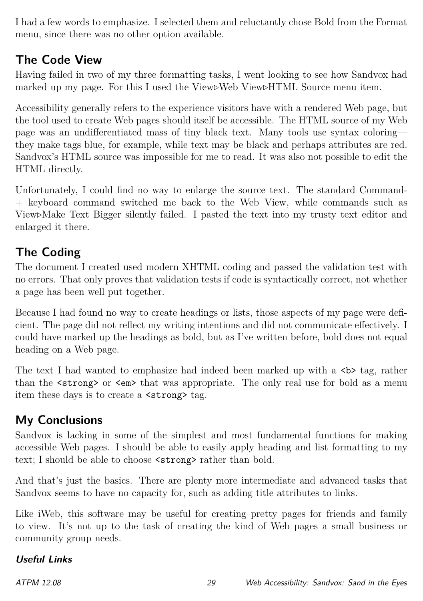I had a few words to emphasize. I selected them and reluctantly chose Bold from the Format menu, since there was no other option available.

### **The Code View**

Having failed in two of my three formatting tasks, I went looking to see how Sandvox had marked up my page. For this I used the View>Web View>HTML Source menu item.

Accessibility generally refers to the experience visitors have with a rendered Web page, but the tool used to create Web pages should itself be accessible. The HTML source of my Web page was an undifferentiated mass of tiny black text. Many tools use syntax coloring they make tags blue, for example, while text may be black and perhaps attributes are red. Sandvox's HTML source was impossible for me to read. It was also not possible to edit the HTML directly.

Unfortunately, I could find no way to enlarge the source text. The standard Command- + keyboard command switched me back to the Web View, while commands such as View>Make Text Bigger silently failed. I pasted the text into my trusty text editor and enlarged it there.

### **The Coding**

The document I created used modern XHTML coding and passed the validation test with no errors. That only proves that validation tests if code is syntactically correct, not whether a page has been well put together.

Because I had found no way to create headings or lists, those aspects of my page were deficient. The page did not reflect my writing intentions and did not communicate effectively. I could have marked up the headings as bold, but as I've written before, bold does not equal heading on a Web page.

The text I had wanted to emphasize had indeed been marked up with a  $\leq b$  tag, rather than the <strong> or <em> that was appropriate. The only real use for bold as a menu item these days is to create a <strong> tag.

### **My Conclusions**

Sandvox is lacking in some of the simplest and most fundamental functions for making accessible Web pages. I should be able to easily apply heading and list formatting to my text; I should be able to choose <strong> rather than bold.

And that's just the basics. There are plenty more intermediate and advanced tasks that Sandvox seems to have no capacity for, such as adding title attributes to links.

Like iWeb, this software may be useful for creating pretty pages for friends and family to view. It's not up to the task of creating the kind of Web pages a small business or community group needs.

#### **Useful Links**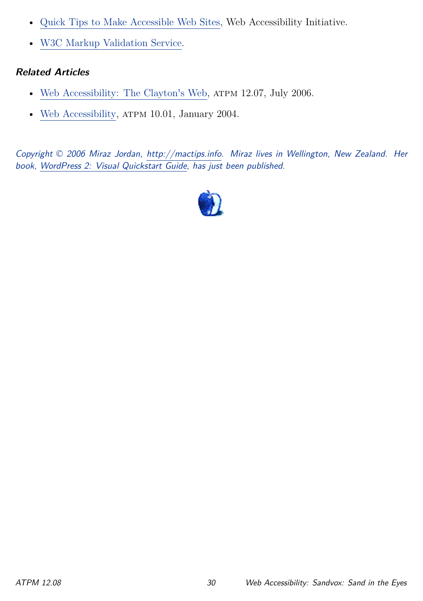- [Quick Tips to Make Accessible Web Sites,](http://www.w3.org/WAI/References/QuickTips/Overview.php) Web Accessibility Initiative.
- [W3C Markup Validation Service.](http://validator.w3.org/)

#### **Related Articles**

- [Web Accessibility: The Clayton's Web,](http://www.atpm.com/12.07/web-accessibility.shtml) ATPM 12.07, July 2006.
- [Web Accessibility,](http://www.atpm.com/10.01/web-accessibility.shtml) ATPM 10.01, January 2004.

Copyright © 2006 Miraz Jordan, [http://mactips.info.](http://mactips.info) Miraz lives in Wellington, New Zealand. Her book, [WordPress 2: Visual Quickstart Guide,](http://www.amazon.com/gp/product/0321450191/) has just been published.

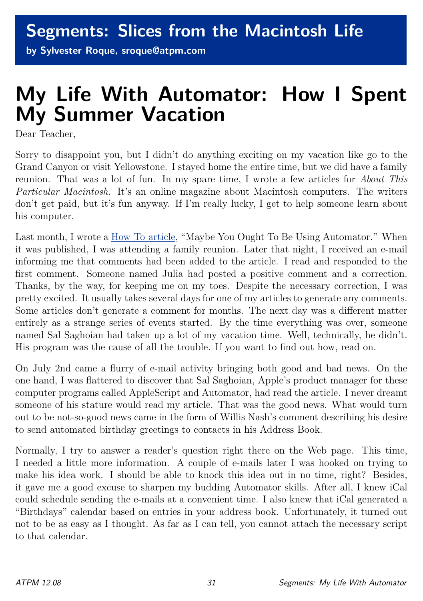**by Sylvester Roque, [sroque@atpm.com](mailto:sroque@atpm.com)**

### **My Life With Automator: How I Spent My Summer Vacation**

Dear Teacher,

Sorry to disappoint you, but I didn't do anything exciting on my vacation like go to the Grand Canyon or visit Yellowstone. I stayed home the entire time, but we did have a family reunion. That was a lot of fun. In my spare time, I wrote a few articles for *About This Particular Macintosh*. It's an online magazine about Macintosh computers. The writers don't get paid, but it's fun anyway. If I'm really lucky, I get to help someone learn about his computer.

Last month, I wrote a [How To article,](http://www.atpm.com/12.07/automator.shtml) "Maybe You Ought To Be Using Automator." When it was published, I was attending a family reunion. Later that night, I received an e-mail informing me that comments had been added to the article. I read and responded to the first comment. Someone named Julia had posted a positive comment and a correction. Thanks, by the way, for keeping me on my toes. Despite the necessary correction, I was pretty excited. It usually takes several days for one of my articles to generate any comments. Some articles don't generate a comment for months. The next day was a different matter entirely as a strange series of events started. By the time everything was over, someone named Sal Saghoian had taken up a lot of my vacation time. Well, technically, he didn't. His program was the cause of all the trouble. If you want to find out how, read on.

On July 2nd came a flurry of e-mail activity bringing both good and bad news. On the one hand, I was flattered to discover that Sal Saghoian, Apple's product manager for these computer programs called AppleScript and Automator, had read the article. I never dreamt someone of his stature would read my article. That was the good news. What would turn out to be not-so-good news came in the form of Willis Nash's comment describing his desire to send automated birthday greetings to contacts in his Address Book.

Normally, I try to answer a reader's question right there on the Web page. This time, I needed a little more information. A couple of e-mails later I was hooked on trying to make his idea work. I should be able to knock this idea out in no time, right? Besides, it gave me a good excuse to sharpen my budding Automator skills. After all, I knew iCal could schedule sending the e-mails at a convenient time. I also knew that iCal generated a "Birthdays" calendar based on entries in your address book. Unfortunately, it turned out not to be as easy as I thought. As far as I can tell, you cannot attach the necessary script to that calendar.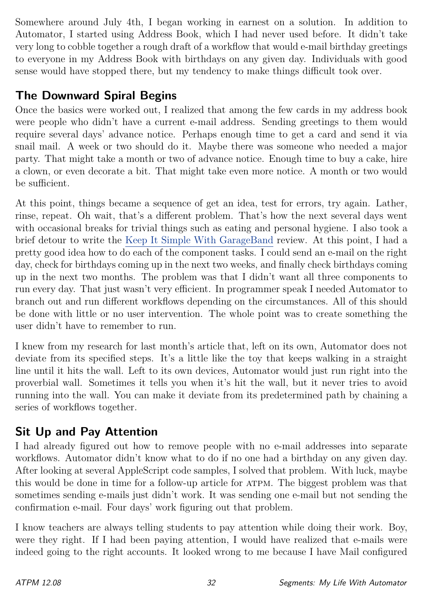Somewhere around July 4th, I began working in earnest on a solution. In addition to Automator, I started using Address Book, which I had never used before. It didn't take very long to cobble together a rough draft of a workflow that would e-mail birthday greetings to everyone in my Address Book with birthdays on any given day. Individuals with good sense would have stopped there, but my tendency to make things difficult took over.

### **The Downward Spiral Begins**

Once the basics were worked out, I realized that among the few cards in my address book were people who didn't have a current e-mail address. Sending greetings to them would require several days' advance notice. Perhaps enough time to get a card and send it via snail mail. A week or two should do it. Maybe there was someone who needed a major party. That might take a month or two of advance notice. Enough time to buy a cake, hire a clown, or even decorate a bit. That might take even more notice. A month or two would be sufficient.

At this point, things became a sequence of get an idea, test for errors, try again. Lather, rinse, repeat. Oh wait, that's a different problem. That's how the next several days went with occasional breaks for trivial things such as eating and personal hygiene. I also took a brief detour to write the [Keep It Simple With GarageBand](http://www.atpm.com/12.08/kiswg.shtml) review. At this point, I had a pretty good idea how to do each of the component tasks. I could send an e-mail on the right day, check for birthdays coming up in the next two weeks, and finally check birthdays coming up in the next two months. The problem was that I didn't want all three components to run every day. That just wasn't very efficient. In programmer speak I needed Automator to branch out and run different workflows depending on the circumstances. All of this should be done with little or no user intervention. The whole point was to create something the user didn't have to remember to run.

I knew from my research for last month's article that, left on its own, Automator does not deviate from its specified steps. It's a little like the toy that keeps walking in a straight line until it hits the wall. Left to its own devices, Automator would just run right into the proverbial wall. Sometimes it tells you when it's hit the wall, but it never tries to avoid running into the wall. You can make it deviate from its predetermined path by chaining a series of workflows together.

### **Sit Up and Pay Attention**

I had already figured out how to remove people with no e-mail addresses into separate workflows. Automator didn't know what to do if no one had a birthday on any given day. After looking at several AppleScript code samples, I solved that problem. With luck, maybe this would be done in time for a follow-up article for atpm. The biggest problem was that sometimes sending e-mails just didn't work. It was sending one e-mail but not sending the confirmation e-mail. Four days' work figuring out that problem.

I know teachers are always telling students to pay attention while doing their work. Boy, were they right. If I had been paying attention, I would have realized that e-mails were indeed going to the right accounts. It looked wrong to me because I have Mail configured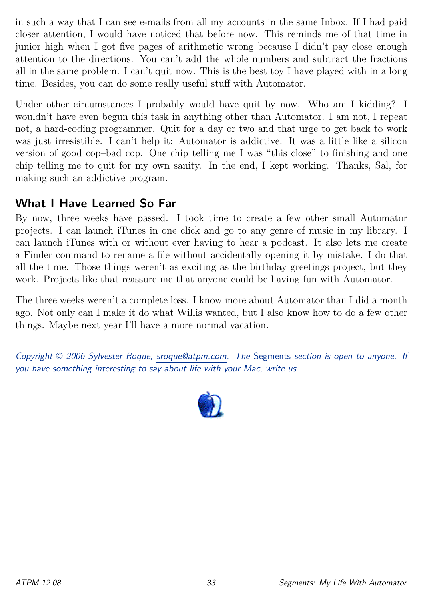in such a way that I can see e-mails from all my accounts in the same Inbox. If I had paid closer attention, I would have noticed that before now. This reminds me of that time in junior high when I got five pages of arithmetic wrong because I didn't pay close enough attention to the directions. You can't add the whole numbers and subtract the fractions all in the same problem. I can't quit now. This is the best toy I have played with in a long time. Besides, you can do some really useful stuff with Automator.

Under other circumstances I probably would have quit by now. Who am I kidding? I wouldn't have even begun this task in anything other than Automator. I am not, I repeat not, a hard-coding programmer. Quit for a day or two and that urge to get back to work was just irresistible. I can't help it: Automator is addictive. It was a little like a silicon version of good cop–bad cop. One chip telling me I was "this close" to finishing and one chip telling me to quit for my own sanity. In the end, I kept working. Thanks, Sal, for making such an addictive program.

### **What I Have Learned So Far**

By now, three weeks have passed. I took time to create a few other small Automator projects. I can launch iTunes in one click and go to any genre of music in my library. I can launch iTunes with or without ever having to hear a podcast. It also lets me create a Finder command to rename a file without accidentally opening it by mistake. I do that all the time. Those things weren't as exciting as the birthday greetings project, but they work. Projects like that reassure me that anyone could be having fun with Automator.

The three weeks weren't a complete loss. I know more about Automator than I did a month ago. Not only can I make it do what Willis wanted, but I also know how to do a few other things. Maybe next year I'll have a more normal vacation.

Copyright © 2006 Sylvester Roque, [sroque@atpm.com.](mailto:sroque@atpm.com) The Segments section is open to anyone. If you have something interesting to say about life with your Mac, write us.

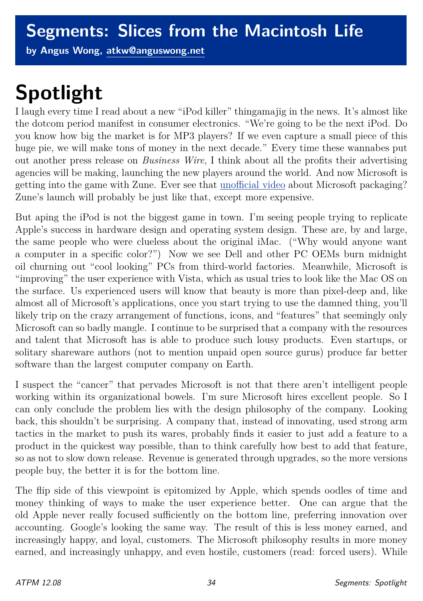**by Angus Wong, [atkw@anguswong.net](mailto:atkw@anguswong.net)**

## **Spotlight**

I laugh every time I read about a new "iPod killer" thingamajig in the news. It's almost like the dotcom period manifest in consumer electronics. "We're going to be the next iPod. Do you know how big the market is for MP3 players? If we even capture a small piece of this huge pie, we will make tons of money in the next decade." Every time these wannabes put out another press release on *Business Wire*, I think about all the profits their advertising agencies will be making, launching the new players around the world. And now Microsoft is getting into the game with Zune. Ever see that [unofficial video](http://video.google.com/videoplay?docid=36099539665548298) about Microsoft packaging? Zune's launch will probably be just like that, except more expensive.

But aping the iPod is not the biggest game in town. I'm seeing people trying to replicate Apple's success in hardware design and operating system design. These are, by and large, the same people who were clueless about the original iMac. ("Why would anyone want a computer in a specific color?") Now we see Dell and other PC OEMs burn midnight oil churning out "cool looking" PCs from third-world factories. Meanwhile, Microsoft is "improving" the user experience with Vista, which as usual tries to look like the Mac OS on the surface. Us experienced users will know that beauty is more than pixel-deep and, like almost all of Microsoft's applications, once you start trying to use the damned thing, you'll likely trip on the crazy arrangement of functions, icons, and "features" that seemingly only Microsoft can so badly mangle. I continue to be surprised that a company with the resources and talent that Microsoft has is able to produce such lousy products. Even startups, or solitary shareware authors (not to mention unpaid open source gurus) produce far better software than the largest computer company on Earth.

I suspect the "cancer" that pervades Microsoft is not that there aren't intelligent people working within its organizational bowels. I'm sure Microsoft hires excellent people. So I can only conclude the problem lies with the design philosophy of the company. Looking back, this shouldn't be surprising. A company that, instead of innovating, used strong arm tactics in the market to push its wares, probably finds it easier to just add a feature to a product in the quickest way possible, than to think carefully how best to add that feature, so as not to slow down release. Revenue is generated through upgrades, so the more versions people buy, the better it is for the bottom line.

The flip side of this viewpoint is epitomized by Apple, which spends oodles of time and money thinking of ways to make the user experience better. One can argue that the old Apple never really focused sufficiently on the bottom line, preferring innovation over accounting. Google's looking the same way. The result of this is less money earned, and increasingly happy, and loyal, customers. The Microsoft philosophy results in more money earned, and increasingly unhappy, and even hostile, customers (read: forced users). While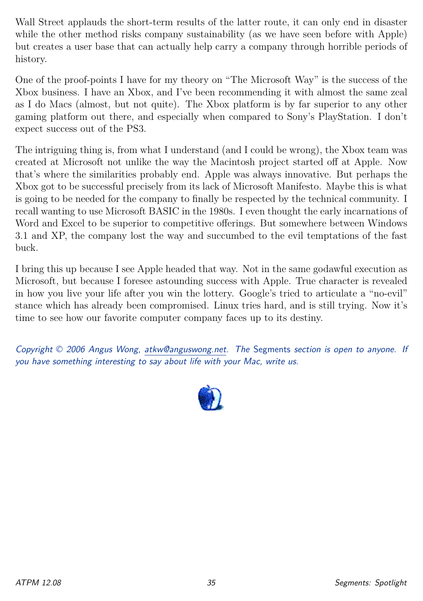Wall Street applauds the short-term results of the latter route, it can only end in disaster while the other method risks company sustainability (as we have seen before with Apple) but creates a user base that can actually help carry a company through horrible periods of history.

One of the proof-points I have for my theory on "The Microsoft Way" is the success of the Xbox business. I have an Xbox, and I've been recommending it with almost the same zeal as I do Macs (almost, but not quite). The Xbox platform is by far superior to any other gaming platform out there, and especially when compared to Sony's PlayStation. I don't expect success out of the PS3.

The intriguing thing is, from what I understand (and I could be wrong), the Xbox team was created at Microsoft not unlike the way the Macintosh project started off at Apple. Now that's where the similarities probably end. Apple was always innovative. But perhaps the Xbox got to be successful precisely from its lack of Microsoft Manifesto. Maybe this is what is going to be needed for the company to finally be respected by the technical community. I recall wanting to use Microsoft BASIC in the 1980s. I even thought the early incarnations of Word and Excel to be superior to competitive offerings. But somewhere between Windows 3.1 and XP, the company lost the way and succumbed to the evil temptations of the fast buck.

I bring this up because I see Apple headed that way. Not in the same godawful execution as Microsoft, but because I foresee astounding success with Apple. True character is revealed in how you live your life after you win the lottery. Google's tried to articulate a "no-evil" stance which has already been compromised. Linux tries hard, and is still trying. Now it's time to see how our favorite computer company faces up to its destiny.

Copyright © 2006 Angus Wong, [atkw@anguswong.net.](mailto:atkw@anguswong.net) The Segments section is open to anyone. If you have something interesting to say about life with your Mac, write us.

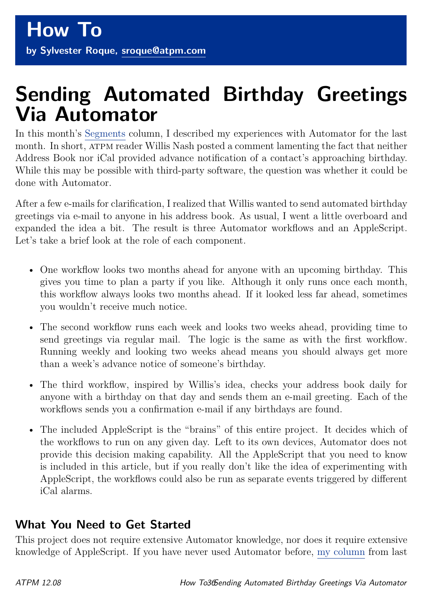### **Sending Automated Birthday Greetings Via Automator**

In this month's [Segments](http://www.atpm.com/12.08/segments.shtml) column, I described my experiences with Automator for the last month. In short, ATPM reader Willis Nash posted a comment lamenting the fact that neither Address Book nor iCal provided advance notification of a contact's approaching birthday. While this may be possible with third-party software, the question was whether it could be done with Automator.

After a few e-mails for clarification, I realized that Willis wanted to send automated birthday greetings via e-mail to anyone in his address book. As usual, I went a little overboard and expanded the idea a bit. The result is three Automator workflows and an AppleScript. Let's take a brief look at the role of each component.

- One workflow looks two months ahead for anyone with an upcoming birthday. This gives you time to plan a party if you like. Although it only runs once each month, this workflow always looks two months ahead. If it looked less far ahead, sometimes you wouldn't receive much notice.
- The second workflow runs each week and looks two weeks ahead, providing time to send greetings via regular mail. The logic is the same as with the first workflow. Running weekly and looking two weeks ahead means you should always get more than a week's advance notice of someone's birthday.
- The third workflow, inspired by Willis's idea, checks your address book daily for anyone with a birthday on that day and sends them an e-mail greeting. Each of the workflows sends you a confirmation e-mail if any birthdays are found.
- The included AppleScript is the "brains" of this entire project. It decides which of the workflows to run on any given day. Left to its own devices, Automator does not provide this decision making capability. All the AppleScript that you need to know is included in this article, but if you really don't like the idea of experimenting with AppleScript, the workflows could also be run as separate events triggered by different iCal alarms.

### **What You Need to Get Started**

This project does not require extensive Automator knowledge, nor does it require extensive knowledge of AppleScript. If you have never used Automator before, [my column](http://www.atpm.com/12.07/automator.shtml) from last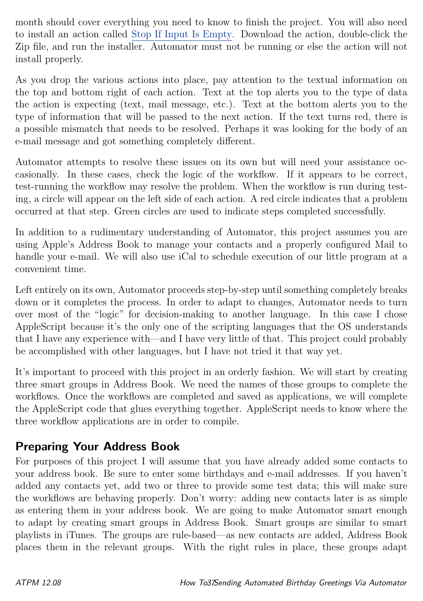month should cover everything you need to know to finish the project. You will also need to install an action called [Stop If Input Is Empty.](http://files.macscripter.net/Automator/Dev%20Tools/process.208) Download the action, double-click the Zip file, and run the installer. Automator must not be running or else the action will not install properly.

As you drop the various actions into place, pay attention to the textual information on the top and bottom right of each action. Text at the top alerts you to the type of data the action is expecting (text, mail message, etc.). Text at the bottom alerts you to the type of information that will be passed to the next action. If the text turns red, there is a possible mismatch that needs to be resolved. Perhaps it was looking for the body of an e-mail message and got something completely different.

Automator attempts to resolve these issues on its own but will need your assistance occasionally. In these cases, check the logic of the workflow. If it appears to be correct, test-running the workflow may resolve the problem. When the workflow is run during testing, a circle will appear on the left side of each action. A red circle indicates that a problem occurred at that step. Green circles are used to indicate steps completed successfully.

In addition to a rudimentary understanding of Automator, this project assumes you are using Apple's Address Book to manage your contacts and a properly configured Mail to handle your e-mail. We will also use iCal to schedule execution of our little program at a convenient time.

Left entirely on its own, Automator proceeds step-by-step until something completely breaks down or it completes the process. In order to adapt to changes, Automator needs to turn over most of the "logic" for decision-making to another language. In this case I chose AppleScript because it's the only one of the scripting languages that the OS understands that I have any experience with—and I have very little of that. This project could probably be accomplished with other languages, but I have not tried it that way yet.

It's important to proceed with this project in an orderly fashion. We will start by creating three smart groups in Address Book. We need the names of those groups to complete the workflows. Once the workflows are completed and saved as applications, we will complete the AppleScript code that glues everything together. AppleScript needs to know where the three workflow applications are in order to compile.

### **Preparing Your Address Book**

For purposes of this project I will assume that you have already added some contacts to your address book. Be sure to enter some birthdays and e-mail addresses. If you haven't added any contacts yet, add two or three to provide some test data; this will make sure the workflows are behaving properly. Don't worry: adding new contacts later is as simple as entering them in your address book. We are going to make Automator smart enough to adapt by creating smart groups in Address Book. Smart groups are similar to smart playlists in iTunes. The groups are rule-based—as new contacts are added, Address Book places them in the relevant groups. With the right rules in place, these groups adapt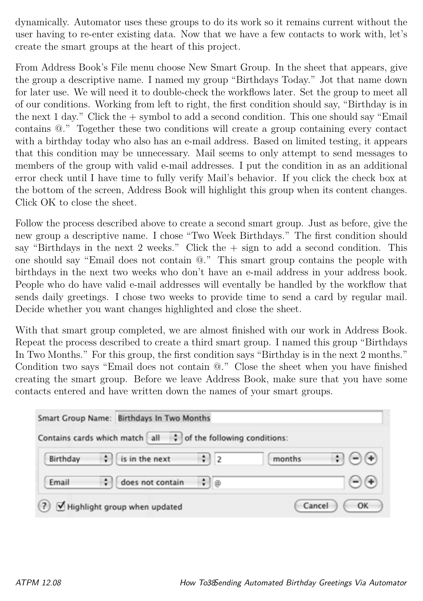dynamically. Automator uses these groups to do its work so it remains current without the user having to re-enter existing data. Now that we have a few contacts to work with, let's create the smart groups at the heart of this project.

From Address Book's File menu choose New Smart Group. In the sheet that appears, give the group a descriptive name. I named my group "Birthdays Today." Jot that name down for later use. We will need it to double-check the workflows later. Set the group to meet all of our conditions. Working from left to right, the first condition should say, "Birthday is in the next 1 day." Click the + symbol to add a second condition. This one should say "Email contains @." Together these two conditions will create a group containing every contact with a birthday today who also has an e-mail address. Based on limited testing, it appears that this condition may be unnecessary. Mail seems to only attempt to send messages to members of the group with valid e-mail addresses. I put the condition in as an additional error check until I have time to fully verify Mail's behavior. If you click the check box at the bottom of the screen, Address Book will highlight this group when its content changes. Click OK to close the sheet.

Follow the process described above to create a second smart group. Just as before, give the new group a descriptive name. I chose "Two Week Birthdays." The first condition should say "Birthdays in the next 2 weeks." Click the  $+$  sign to add a second condition. This one should say "Email does not contain @." This smart group contains the people with birthdays in the next two weeks who don't have an e-mail address in your address book. People who do have valid e-mail addresses will eventally be handled by the workflow that sends daily greetings. I chose two weeks to provide time to send a card by regular mail. Decide whether you want changes highlighted and close the sheet.

With that smart group completed, we are almost finished with our work in Address Book. Repeat the process described to create a third smart group. I named this group "Birthdays In Two Months." For this group, the first condition says "Birthday is in the next 2 months." Condition two says "Email does not contain @." Close the sheet when you have finished creating the smart group. Before we leave Address Book, make sure that you have some contacts entered and have written down the names of your smart groups.

|                                   | Smart Group Name: Birthdays In Two Months                           |                                |        |                                   |
|-----------------------------------|---------------------------------------------------------------------|--------------------------------|--------|-----------------------------------|
|                                   | Contains cards which match $\ \cdot\ $ of the following conditions: |                                |        |                                   |
| Birthday                          | $\frac{1}{x}$ is in the next                                        | $\frac{1}{2}$   2              | months | $\Theta(\Theta)$                  |
| Email                             | ÷<br>does not contain                                               | $\left  \cdot \right $ $\circ$ |        | $\left( -\right) \left( +\right)$ |
| ?<br>Highlight group when updated |                                                                     | Cancel                         | OK     |                                   |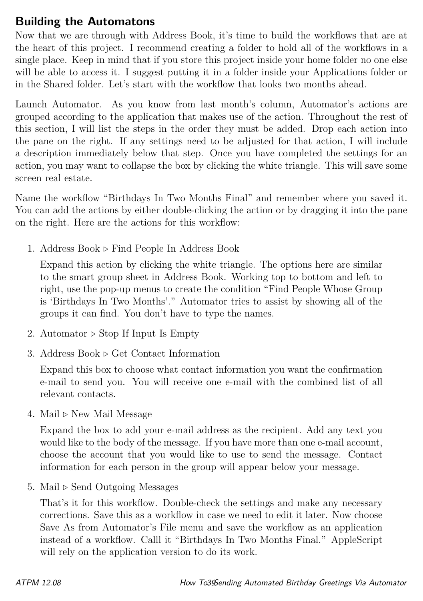### **Building the Automatons**

Now that we are through with Address Book, it's time to build the workflows that are at the heart of this project. I recommend creating a folder to hold all of the workflows in a single place. Keep in mind that if you store this project inside your home folder no one else will be able to access it. I suggest putting it in a folder inside your Applications folder or in the Shared folder. Let's start with the workflow that looks two months ahead.

Launch Automator. As you know from last month's column, Automator's actions are grouped according to the application that makes use of the action. Throughout the rest of this section, I will list the steps in the order they must be added. Drop each action into the pane on the right. If any settings need to be adjusted for that action, I will include a description immediately below that step. Once you have completed the settings for an action, you may want to collapse the box by clicking the white triangle. This will save some screen real estate.

Name the workflow "Birthdays In Two Months Final" and remember where you saved it. You can add the actions by either double-clicking the action or by dragging it into the pane on the right. Here are the actions for this workflow:

1. Address Book  $\triangleright$  Find People In Address Book

Expand this action by clicking the white triangle. The options here are similar to the smart group sheet in Address Book. Working top to bottom and left to right, use the pop-up menus to create the condition "Find People Whose Group is 'Birthdays In Two Months'." Automator tries to assist by showing all of the groups it can find. You don't have to type the names.

- 2. Automator  $\triangleright$  Stop If Input Is Empty
- 3. Address Book  $\triangleright$  Get Contact Information

Expand this box to choose what contact information you want the confirmation e-mail to send you. You will receive one e-mail with the combined list of all relevant contacts.

4. Mail  $\triangleright$  New Mail Message

Expand the box to add your e-mail address as the recipient. Add any text you would like to the body of the message. If you have more than one e-mail account, choose the account that you would like to use to send the message. Contact information for each person in the group will appear below your message.

5. Mail  $\triangleright$  Send Outgoing Messages

That's it for this workflow. Double-check the settings and make any necessary corrections. Save this as a workflow in case we need to edit it later. Now choose Save As from Automator's File menu and save the workflow as an application instead of a workflow. Calll it "Birthdays In Two Months Final." AppleScript will rely on the application version to do its work.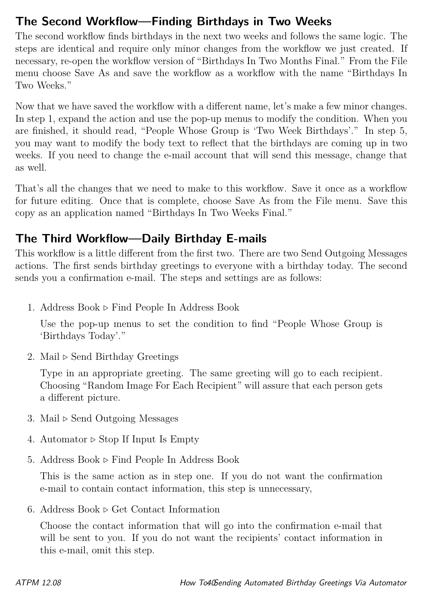### **The Second Workflow—Finding Birthdays in Two Weeks**

The second workflow finds birthdays in the next two weeks and follows the same logic. The steps are identical and require only minor changes from the workflow we just created. If necessary, re-open the workflow version of "Birthdays In Two Months Final." From the File menu choose Save As and save the workflow as a workflow with the name "Birthdays In Two Weeks."

Now that we have saved the workflow with a different name, let's make a few minor changes. In step 1, expand the action and use the pop-up menus to modify the condition. When you are finished, it should read, "People Whose Group is 'Two Week Birthdays'." In step 5, you may want to modify the body text to reflect that the birthdays are coming up in two weeks. If you need to change the e-mail account that will send this message, change that as well.

That's all the changes that we need to make to this workflow. Save it once as a workflow for future editing. Once that is complete, choose Save As from the File menu. Save this copy as an application named "Birthdays In Two Weeks Final."

### **The Third Workflow—Daily Birthday E-mails**

This workflow is a little different from the first two. There are two Send Outgoing Messages actions. The first sends birthday greetings to everyone with a birthday today. The second sends you a confirmation e-mail. The steps and settings are as follows:

1. Address Book  $\triangleright$  Find People In Address Book

Use the pop-up menus to set the condition to find "People Whose Group is 'Birthdays Today'."

2. Mail  $\triangleright$  Send Birthday Greetings

Type in an appropriate greeting. The same greeting will go to each recipient. Choosing "Random Image For Each Recipient" will assure that each person gets a different picture.

- 3. Mail  $\triangleright$  Send Outgoing Messages
- 4. Automator  $\triangleright$  Stop If Input Is Empty
- 5. Address Book  $\triangleright$  Find People In Address Book

This is the same action as in step one. If you do not want the confirmation e-mail to contain contact information, this step is unnecessary,

6. Address Book  $\triangleright$  Get Contact Information

Choose the contact information that will go into the confirmation e-mail that will be sent to you. If you do not want the recipients' contact information in this e-mail, omit this step.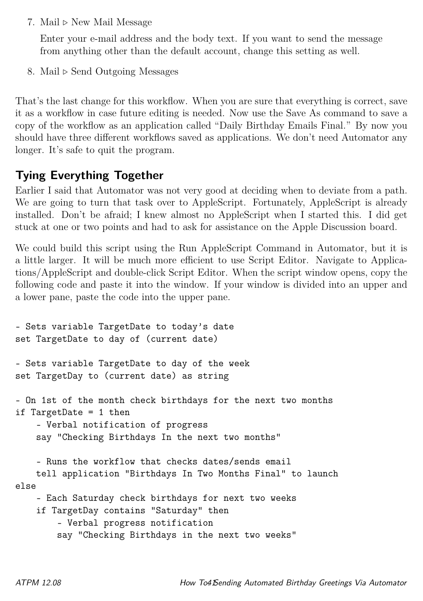7. Mail  $\triangleright$  New Mail Message

Enter your e-mail address and the body text. If you want to send the message from anything other than the default account, change this setting as well.

8. Mail  $\triangleright$  Send Outgoing Messages

That's the last change for this workflow. When you are sure that everything is correct, save it as a workflow in case future editing is needed. Now use the Save As command to save a copy of the workflow as an application called "Daily Birthday Emails Final." By now you should have three different workflows saved as applications. We don't need Automator any longer. It's safe to quit the program.

### **Tying Everything Together**

Earlier I said that Automator was not very good at deciding when to deviate from a path. We are going to turn that task over to AppleScript. Fortunately, AppleScript is already installed. Don't be afraid; I knew almost no AppleScript when I started this. I did get stuck at one or two points and had to ask for assistance on the Apple Discussion board.

We could build this script using the Run AppleScript Command in Automator, but it is a little larger. It will be much more efficient to use Script Editor. Navigate to Applications/AppleScript and double-click Script Editor. When the script window opens, copy the following code and paste it into the window. If your window is divided into an upper and a lower pane, paste the code into the upper pane.

```
– Sets variable TargetDate to today's date
set TargetDate to day of (current date)
– Sets variable TargetDate to day of the week
set TargetDay to (current date) as string
– On 1st of the month check birthdays for the next two months
if TargetDate = 1 then
    – Verbal notification of progress
    say "Checking Birthdays In the next two months"
    – Runs the workflow that checks dates/sends email
   tell application "Birthdays In Two Months Final" to launch
else
    – Each Saturday check birthdays for next two weeks
    if TargetDay contains "Saturday" then
        – Verbal progress notification
        say "Checking Birthdays in the next two weeks"
```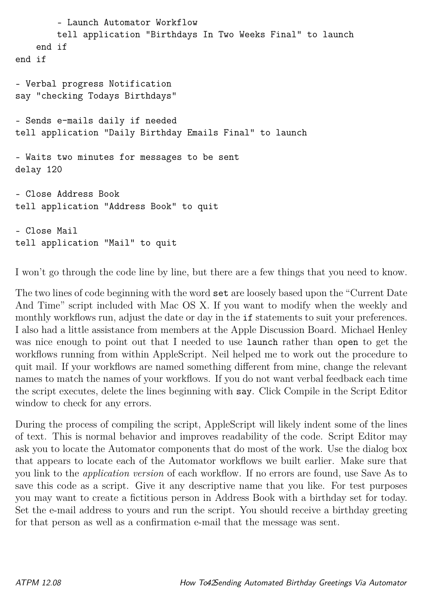```
– Launch Automator Workflow
        tell application "Birthdays In Two Weeks Final" to launch
    end if
end if
– Verbal progress Notification
say "checking Todays Birthdays"
– Sends e-mails daily if needed
tell application "Daily Birthday Emails Final" to launch
– Waits two minutes for messages to be sent
delay 120
– Close Address Book
tell application "Address Book" to quit
– Close Mail
tell application "Mail" to quit
```
I won't go through the code line by line, but there are a few things that you need to know.

The two lines of code beginning with the word set are loosely based upon the "Current Date And Time" script included with Mac OS X. If you want to modify when the weekly and monthly workflows run, adjust the date or day in the if statements to suit your preferences. I also had a little assistance from members at the Apple Discussion Board. Michael Henley was nice enough to point out that I needed to use launch rather than open to get the workflows running from within AppleScript. Neil helped me to work out the procedure to quit mail. If your workflows are named something different from mine, change the relevant names to match the names of your workflows. If you do not want verbal feedback each time the script executes, delete the lines beginning with say. Click Compile in the Script Editor window to check for any errors.

During the process of compiling the script, AppleScript will likely indent some of the lines of text. This is normal behavior and improves readability of the code. Script Editor may ask you to locate the Automator components that do most of the work. Use the dialog box that appears to locate each of the Automator workflows we built earlier. Make sure that you link to the *application version* of each workflow. If no errors are found, use Save As to save this code as a script. Give it any descriptive name that you like. For test purposes you may want to create a fictitious person in Address Book with a birthday set for today. Set the e-mail address to yours and run the script. You should receive a birthday greeting for that person as well as a confirmation e-mail that the message was sent.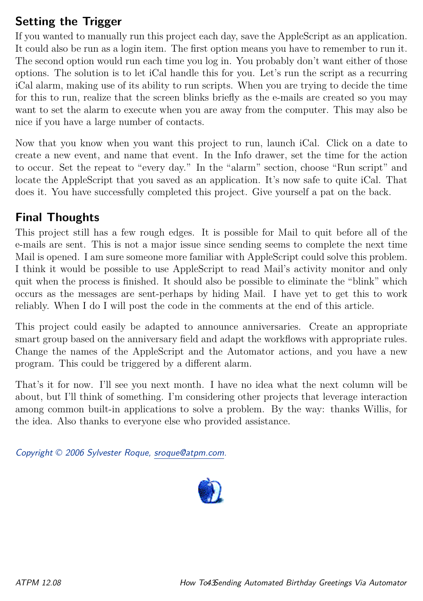### **Setting the Trigger**

If you wanted to manually run this project each day, save the AppleScript as an application. It could also be run as a login item. The first option means you have to remember to run it. The second option would run each time you log in. You probably don't want either of those options. The solution is to let iCal handle this for you. Let's run the script as a recurring iCal alarm, making use of its ability to run scripts. When you are trying to decide the time for this to run, realize that the screen blinks briefly as the e-mails are created so you may want to set the alarm to execute when you are away from the computer. This may also be nice if you have a large number of contacts.

Now that you know when you want this project to run, launch iCal. Click on a date to create a new event, and name that event. In the Info drawer, set the time for the action to occur. Set the repeat to "every day." In the "alarm" section, choose "Run script" and locate the AppleScript that you saved as an application. It's now safe to quite iCal. That does it. You have successfully completed this project. Give yourself a pat on the back.

### **Final Thoughts**

This project still has a few rough edges. It is possible for Mail to quit before all of the e-mails are sent. This is not a major issue since sending seems to complete the next time Mail is opened. I am sure someone more familiar with AppleScript could solve this problem. I think it would be possible to use AppleScript to read Mail's activity monitor and only quit when the process is finished. It should also be possible to eliminate the "blink" which occurs as the messages are sent-perhaps by hiding Mail. I have yet to get this to work reliably. When I do I will post the code in the comments at the end of this article.

This project could easily be adapted to announce anniversaries. Create an appropriate smart group based on the anniversary field and adapt the workflows with appropriate rules. Change the names of the AppleScript and the Automator actions, and you have a new program. This could be triggered by a different alarm.

That's it for now. I'll see you next month. I have no idea what the next column will be about, but I'll think of something. I'm considering other projects that leverage interaction among common built-in applications to solve a problem. By the way: thanks Willis, for the idea. Also thanks to everyone else who provided assistance.

Copyright © 2006 Sylvester Roque, [sroque@atpm.com.](mailto:sroque@atpm.com)

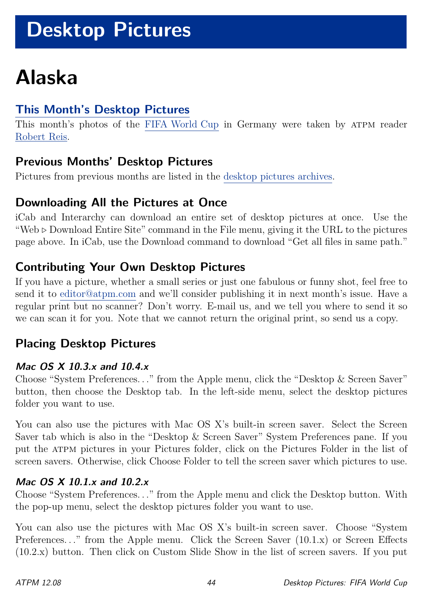### **Desktop Pictures**

### **Alaska**

### **[This Month's Desktop Pictures](http://www.atpm.com/12.08/world-cup/)**

This month's photos of the [FIFA World Cup](http://www.atpm.com/12.08/world-cup/) in Germany were taken by atpm reader [Robert Reis.](http://web.mac.com/robertanthonyreis)

#### **Previous Months' Desktop Pictures**

Pictures from previous months are listed in the [desktop pictures archives.](http://www.atpm.com/Back/desktop-pictures.shtml)

#### **Downloading All the Pictures at Once**

iCab and Interarchy can download an entire set of desktop pictures at once. Use the "Web  $\triangleright$  Download Entire Site" command in the File menu, giving it the URL to the pictures page above. In iCab, use the Download command to download "Get all files in same path."

#### **Contributing Your Own Desktop Pictures**

If you have a picture, whether a small series or just one fabulous or funny shot, feel free to send it to [editor@atpm.com](mailto:editor@atpm.com) and we'll consider publishing it in next month's issue. Have a regular print but no scanner? Don't worry. E-mail us, and we tell you where to send it so we can scan it for you. Note that we cannot return the original print, so send us a copy.

### **Placing Desktop Pictures**

#### **Mac OS X 10.3.x and 10.4.x**

Choose "System Preferences. . ." from the Apple menu, click the "Desktop & Screen Saver" button, then choose the Desktop tab. In the left-side menu, select the desktop pictures folder you want to use.

You can also use the pictures with Mac OS X's built-in screen saver. Select the Screen Saver tab which is also in the "Desktop & Screen Saver" System Preferences pane. If you put the ATPM pictures in your Pictures folder, click on the Pictures Folder in the list of screen savers. Otherwise, click Choose Folder to tell the screen saver which pictures to use.

#### **Mac OS X 10.1.x and 10.2.x**

Choose "System Preferences. . ." from the Apple menu and click the Desktop button. With the pop-up menu, select the desktop pictures folder you want to use.

You can also use the pictures with Mac OS X's built-in screen saver. Choose "System" Preferences..." from the Apple menu. Click the Screen Saver (10.1.x) or Screen Effects (10.2.x) button. Then click on Custom Slide Show in the list of screen savers. If you put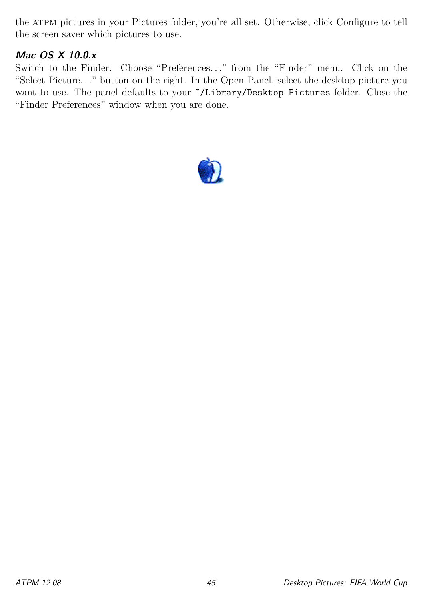the ATPM pictures in your Pictures folder, you're all set. Otherwise, click Configure to tell the screen saver which pictures to use.

#### **Mac OS X 10.0.x**

Switch to the Finder. Choose "Preferences. . ." from the "Finder" menu. Click on the "Select Picture. . ." button on the right. In the Open Panel, select the desktop picture you want to use. The panel defaults to your "/Library/Desktop Pictures folder. Close the "Finder Preferences" window when you are done.

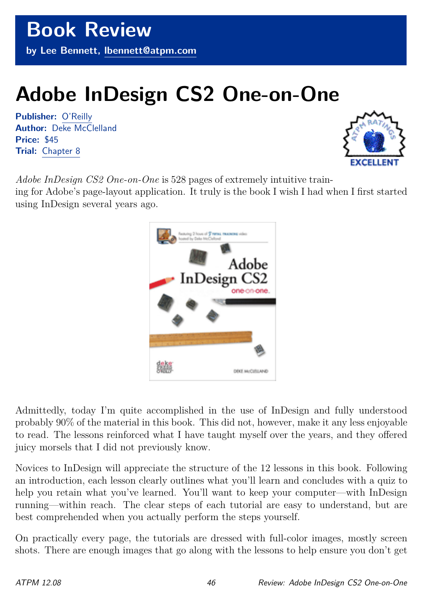### **Adobe InDesign CS2 One-on-One**

**Publisher:** [O'Reilly](http://www.oreilly.com/catalog/adobeindesign2/) **Author:** Deke McClelland **Price:** \$45 **Trial:** [Chapter 8](http://www.oreilly.com/catalog/adobeindesign2/chapter/)



*Adobe InDesign CS2 One-on-One* is 528 pages of extremely intuitive train-

ing for Adobe's page-layout application. It truly is the book I wish I had when I first started using InDesign several years ago.



Admittedly, today I'm quite accomplished in the use of InDesign and fully understood probably 90% of the material in this book. This did not, however, make it any less enjoyable to read. The lessons reinforced what I have taught myself over the years, and they offered juicy morsels that I did not previously know.

Novices to InDesign will appreciate the structure of the 12 lessons in this book. Following an introduction, each lesson clearly outlines what you'll learn and concludes with a quiz to help you retain what you've learned. You'll want to keep your computer—with InDesign running—within reach. The clear steps of each tutorial are easy to understand, but are best comprehended when you actually perform the steps yourself.

On practically every page, the tutorials are dressed with full-color images, mostly screen shots. There are enough images that go along with the lessons to help ensure you don't get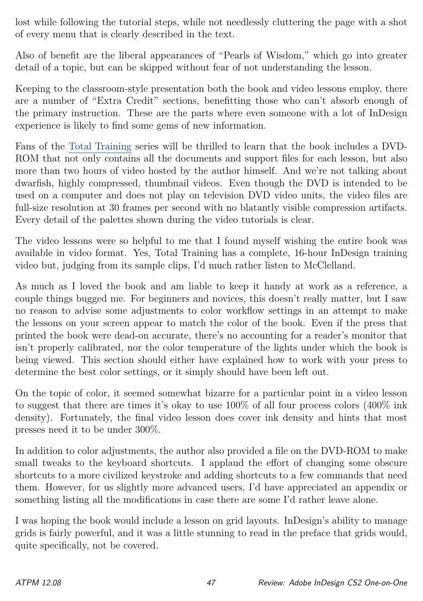lost while following the tutorial steps, while not needlessly cluttering the page with a shot of every menu that is clearly described in the text.

Also of benefit are the liberal appearances of "Pearls of Wisdom," which go into greater detail of a topic, but can be skipped without fear of not understanding the lesson.

Keeping to the classroom-style presentation both the book and video lessons employ, there are a number of "Extra Credit" sections, benefitting those who can't absorb enough of the primary instruction. These are the parts where even someone with a lot of InDesign experience is likely to find some gems of new information.

Fans of the [Total Training](http://www.totaltraining.com/) series will be thrilled to learn that the book includes a DVD-ROM that not only contains all the documents and support files for each lesson, but also more than two hours of video hosted by the author himself. And we're not talking about dwarfish, highly compressed, thumbnail videos. Even though the DVD is intended to be used on a computer and does not play on television DVD video units, the video files are full-size resolution at 30 frames per second with no blatantly visible compression artifacts. Every detail of the palettes shown during the video tutorials is clear.

The video lessons were so helpful to me that I found myself wishing the entire book was available in video format. Yes, Total Training has a complete, 16-hour InDesign training video but, judging from its sample clips, I'd much rather listen to McClelland.

As much as I loved the book and am liable to keep it handy at work as a reference, a couple things bugged me. For beginners and novices, this doesn't really matter, but I saw no reason to advise some adjustments to color workflow settings in an attempt to make the lessons on your screen appear to match the color of the book. Even if the press that printed the book were dead-on accurate, there's no accounting for a reader's monitor that isn't properly calibrated, nor the color temperature of the lights under which the book is being viewed. This section should either have explained how to work with your press to determine the best color settings, or it simply should have been left out.

On the topic of color, it seemed somewhat bizarre for a particular point in a video lesson to suggest that there are times it's okay to use 100% of all four process colors (400% ink density). Fortunately, the final video lesson does cover ink density and hints that most presses need it to be under 300%.

In addition to color adjustments, the author also provided a file on the DVD-ROM to make small tweaks to the keyboard shortcuts. I applaud the effort of changing some obscure shortcuts to a more civilized keystroke and adding shortcuts to a few commands that need them. However, for us slightly more advanced users, I'd have appreciated an appendix or something listing all the modifications in case there are some I'd rather leave alone.

I was hoping the book would include a lesson on grid layouts. InDesign's ability to manage grids is fairly powerful, and it was a little stunning to read in the preface that grids would, quite specifically, not be covered.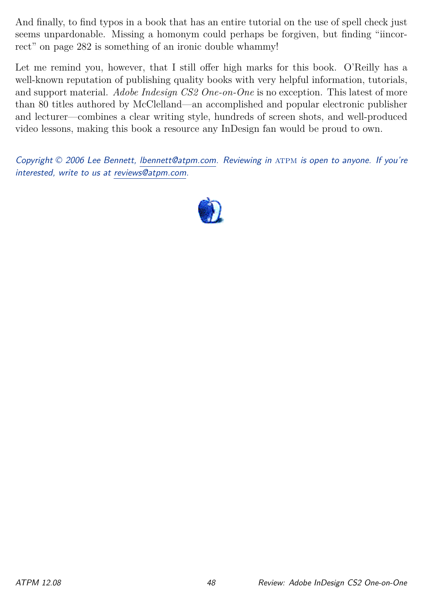And finally, to find typos in a book that has an entire tutorial on the use of spell check just seems unpardonable. Missing a homonym could perhaps be forgiven, but finding "iincorrect" on page 282 is something of an ironic double whammy!

Let me remind you, however, that I still offer high marks for this book. O'Reilly has a well-known reputation of publishing quality books with very helpful information, tutorials, and support material. *Adobe Indesign CS2 One-on-One* is no exception. This latest of more than 80 titles authored by McClelland—an accomplished and popular electronic publisher and lecturer—combines a clear writing style, hundreds of screen shots, and well-produced video lessons, making this book a resource any InDesign fan would be proud to own.

Copyright © 2006 Lee Bennett, Ibennett@atpm.com. Reviewing in ATPM is open to anyone. If you're interested, write to us at [reviews@atpm.com.](mailto:reviews@atpm.com)

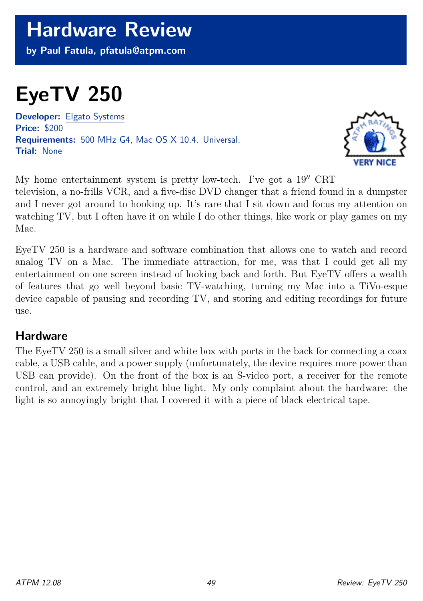### **Hardware Review**

**by Paul Fatula, [pfatula@atpm.com](mailto:pfatula@atpm.com)**

### **EyeTV 250**

**Developer:** [Elgato Systems](http://www.elgato.com/index.php?file=products_eyetv250) **Price:** \$200 **Requirements:** 500 MHz G4, Mac OS X 10.4. [Universal.](http://www.apple.com/universal/) **Trial:** None



My home entertainment system is pretty low-tech. I've got a  $19''$  CRT television, a no-frills VCR, and a five-disc DVD changer that a friend found in a dumpster and I never got around to hooking up. It's rare that I sit down and focus my attention on watching TV, but I often have it on while I do other things, like work or play games on my Mac.

EyeTV 250 is a hardware and software combination that allows one to watch and record analog TV on a Mac. The immediate attraction, for me, was that I could get all my entertainment on one screen instead of looking back and forth. But EyeTV offers a wealth of features that go well beyond basic TV-watching, turning my Mac into a TiVo-esque device capable of pausing and recording TV, and storing and editing recordings for future use.

### **Hardware**

The EyeTV 250 is a small silver and white box with ports in the back for connecting a coax cable, a USB cable, and a power supply (unfortunately, the device requires more power than USB can provide). On the front of the box is an S-video port, a receiver for the remote control, and an extremely bright blue light. My only complaint about the hardware: the light is so annoyingly bright that I covered it with a piece of black electrical tape.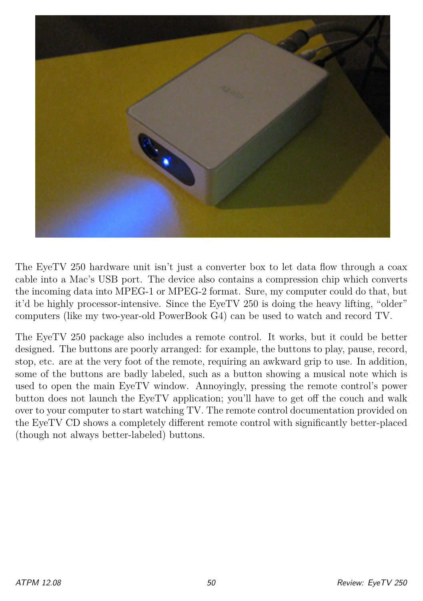

The EyeTV 250 hardware unit isn't just a converter box to let data flow through a coax cable into a Mac's USB port. The device also contains a compression chip which converts the incoming data into MPEG-1 or MPEG-2 format. Sure, my computer could do that, but it'd be highly processor-intensive. Since the EyeTV 250 is doing the heavy lifting, "older" computers (like my two-year-old PowerBook G4) can be used to watch and record TV.

The EyeTV 250 package also includes a remote control. It works, but it could be better designed. The buttons are poorly arranged: for example, the buttons to play, pause, record, stop, etc. are at the very foot of the remote, requiring an awkward grip to use. In addition, some of the buttons are badly labeled, such as a button showing a musical note which is used to open the main EyeTV window. Annoyingly, pressing the remote control's power button does not launch the EyeTV application; you'll have to get off the couch and walk over to your computer to start watching TV. The remote control documentation provided on the EyeTV CD shows a completely different remote control with significantly better-placed (though not always better-labeled) buttons.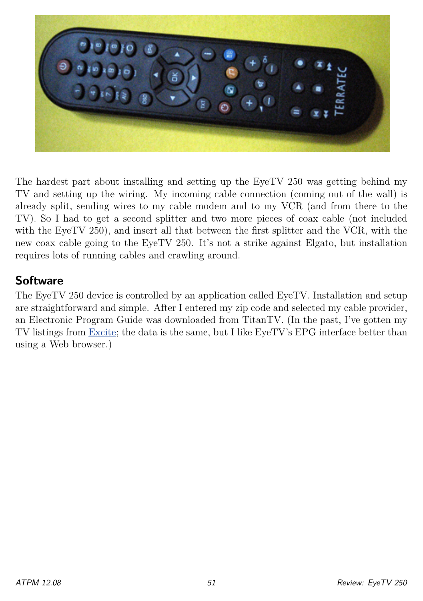

The hardest part about installing and setting up the EyeTV 250 was getting behind my TV and setting up the wiring. My incoming cable connection (coming out of the wall) is already split, sending wires to my cable modem and to my VCR (and from there to the TV). So I had to get a second splitter and two more pieces of coax cable (not included with the EyeTV 250), and insert all that between the first splitter and the VCR, with the new coax cable going to the EyeTV 250. It's not a strike against Elgato, but installation requires lots of running cables and crawling around.

### **Software**

The EyeTV 250 device is controlled by an application called EyeTV. Installation and setup are straightforward and simple. After I entered my zip code and selected my cable provider, an Electronic Program Guide was downloaded from TitanTV. (In the past, I've gotten my TV listings from [Excite;](http://www.excite.com/tv/grid.jsp) the data is the same, but I like EyeTV's EPG interface better than using a Web browser.)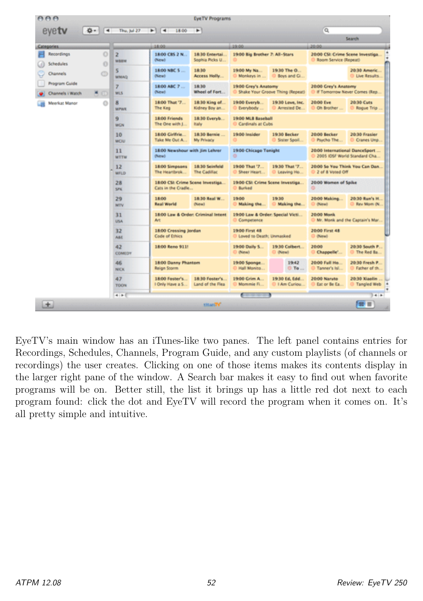| evety                                             |                                        |                                                                                       |                                                                                    |                                                |                                                       |                                                                | Search                              |
|---------------------------------------------------|----------------------------------------|---------------------------------------------------------------------------------------|------------------------------------------------------------------------------------|------------------------------------------------|-------------------------------------------------------|----------------------------------------------------------------|-------------------------------------|
| Categories                                        |                                        | 148.00                                                                                |                                                                                    | 18.00                                          |                                                       | 20:00                                                          |                                     |
| Recordings<br>Schedules                           | $\circ$<br>$\overline{z}$<br>WEEN<br>O | 18:00 CBS 2 N.<br>18:30 Entertail<br><b>Overall</b><br>Sophia Picks U.,               |                                                                                    | 19:00 Big Brother 7: All-Stars                 |                                                       | 20.00 CSI Crime Scene Investiga.<br>Room Service (Repeat)      |                                     |
| <b>Channels</b>                                   | š<br>ō<br><b>WMAC</b>                  | 18:00 NBC 5<br><b>Oine!</b>                                                           | 18:30<br>Access Holly                                                              | 19:00 My Na<br>Monkeys in                      | 19:30 The O<br>Boys and Ci                            |                                                                | 20:30 Americ.<br>Live Results.      |
| Program Cuide<br><b>* (3)</b><br>Channels i Watch | y.<br><b>MIS</b>                       | 18:00 ABC 7<br>(New)                                                                  | 18:30<br>19:00 Crey's Anatomy<br>Wheel of Fort<br>Shake Your Groove Thing (Repeat) |                                                | 20:00 Crey's Anatomy<br>If Tomorrow Never Comes (Rep. |                                                                |                                     |
| Meerkat Manor                                     | s<br>o<br><b>MIPA/R</b>                | 18:00 That '7<br>The Keg                                                              | 18:30 King of<br>Kidney Boy an                                                     | 19:00 Everyb.<br>Everybody                     | 19:10 Love, Inc.<br>Arrested De                       | 20:00 Eve<br>Oh Brother                                        | 20:30 Cuts<br>Rogue Trip            |
|                                                   | ٠<br><b>MICH</b>                       | 18:00 Friends<br>The One with J.                                                      | 18:30 Everyb<br><b>Haly</b>                                                        | 19:00 MLB Baseball<br>Cardinals at Cubs        |                                                       |                                                                |                                     |
|                                                   | 10<br>MOV                              | 18:00 Cirifrie.<br>Take Me Out A.                                                     | 18:30 Bernie<br>My Privacy                                                         | 19:00 Insider                                  | 19:10 Becker<br>Sister Spott                          | 20:00 Becker<br>Psycho The                                     | 20:30 Frasier<br>Cranes Unp.        |
|                                                   | 11<br>WTTW                             | 18:00 Newshour with Jim Lehrer<br>(New)                                               |                                                                                    | 19:00 Chicago Tonight<br>o                     |                                                       | 20:00 International DanceSport<br>2005 IDSF World Standard Cha |                                     |
|                                                   | 12<br><b>WFLD</b>                      | 18:00 Simpsons<br>The Heartbrok.                                                      | 18:30 Seinfeld<br>The Cadillac                                                     | 19:00 That '7<br>Sheer Heart                   | 19:30 That '7<br>Leaving Ho.                          | 20:00 So You Think You Can Dan.<br>2 of 8 Voted Off            |                                     |
|                                                   | 28<br><b>SPK</b>                       | 18:00 CSI: Crime Scene Investiga<br>Cats in the Cradle                                |                                                                                    | 19:00 CSI: Crime Scene Investiga<br>Burked     |                                                       | 20:00 Women of Spike                                           |                                     |
|                                                   | 29<br><b>MTV</b>                       | 18:00<br><b>Real World</b>                                                            | 18:30 Real W<br>(New)                                                              | 19:00<br><b>Making the</b>                     | 19:30<br>Making the                                   | 20:00 Making.<br>Overall                                       | 20:30 Run's H.<br>Rev Mam (N)       |
|                                                   | 31<br><b>USA</b>                       | 18:00 Law & Order: Criminal Intent<br>Art.<br>18:00 Crossing Jordan<br>Code of Ethics |                                                                                    | 19:00 Law & Order: Special Victi<br>Competence |                                                       | 20:00 Monk<br>Mr. Monk and the Captain's Mar.                  |                                     |
|                                                   | 32<br>A&E                              |                                                                                       |                                                                                    | 19:00 First 48<br>Loved to Death; Unmasked     |                                                       | 20:00 First 48<br>D Overall                                    |                                     |
|                                                   | 42<br><b>COMEDY</b>                    | 18:00 Reno 911!                                                                       |                                                                                    | 19:00 Daily S.,<br>(New)                       | 19:30 Colbert<br>Overal.                              | 20:00<br>Chappelle'                                            | 20:30 South P.<br>The Red Ba.       |
|                                                   | 46<br><b>NICK</b>                      | 18:00 Danny Phantom<br>Reign Storm                                                    |                                                                                    | 19:00 Sponge<br>Hall Monito                    | $19-42$<br>$0$ To $-$                                 | 20:00 Full Ho.<br>Tanner's Isl.                                | 20:30 Fresh P.<br>Facher of th.     |
|                                                   | 47<br><b>TOON</b>                      | 1800 Faster's<br>I Only Have a S                                                      | 18 30 Foster's<br>Land of the Flea.                                                | 19:00 Crim A<br>Mommie Fi                      | 19:30 Ed. Edd.<br>1 Am Curiou.                        | 20:00 Narute<br>Eat or Be Ea                                   | 20:30 Xiaedin<br><b>Tangled Web</b> |

EyeTV's main window has an iTunes-like two panes. The left panel contains entries for Recordings, Schedules, Channels, Program Guide, and any custom playlists (of channels or recordings) the user creates. Clicking on one of those items makes its contents display in the larger right pane of the window. A Search bar makes it easy to find out when favorite programs will be on. Better still, the list it brings up has a little red dot next to each program found: click the dot and EyeTV will record the program when it comes on. It's all pretty simple and intuitive.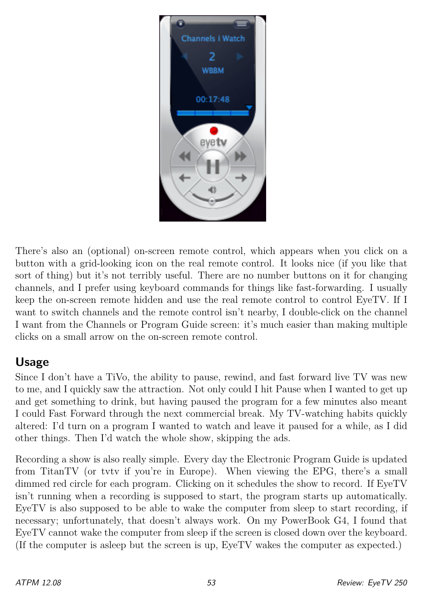

There's also an (optional) on-screen remote control, which appears when you click on a button with a grid-looking icon on the real remote control. It looks nice (if you like that sort of thing) but it's not terribly useful. There are no number buttons on it for changing channels, and I prefer using keyboard commands for things like fast-forwarding. I usually keep the on-screen remote hidden and use the real remote control to control EyeTV. If I want to switch channels and the remote control isn't nearby, I double-click on the channel I want from the Channels or Program Guide screen: it's much easier than making multiple clicks on a small arrow on the on-screen remote control.

### **Usage**

Since I don't have a TiVo, the ability to pause, rewind, and fast forward live TV was new to me, and I quickly saw the attraction. Not only could I hit Pause when I wanted to get up and get something to drink, but having paused the program for a few minutes also meant I could Fast Forward through the next commercial break. My TV-watching habits quickly altered: I'd turn on a program I wanted to watch and leave it paused for a while, as I did other things. Then I'd watch the whole show, skipping the ads.

Recording a show is also really simple. Every day the Electronic Program Guide is updated from TitanTV (or tvtv if you're in Europe). When viewing the EPG, there's a small dimmed red circle for each program. Clicking on it schedules the show to record. If EyeTV isn't running when a recording is supposed to start, the program starts up automatically. EyeTV is also supposed to be able to wake the computer from sleep to start recording, if necessary; unfortunately, that doesn't always work. On my PowerBook G4, I found that EyeTV cannot wake the computer from sleep if the screen is closed down over the keyboard. (If the computer is asleep but the screen is up, EyeTV wakes the computer as expected.)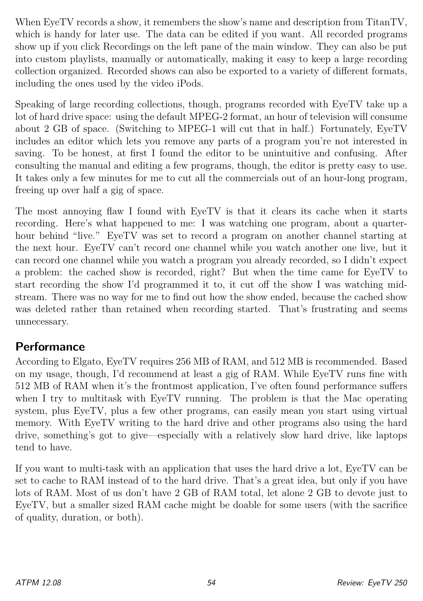When EyeTV records a show, it remembers the show's name and description from TitanTV, which is handy for later use. The data can be edited if you want. All recorded programs show up if you click Recordings on the left pane of the main window. They can also be put into custom playlists, manually or automatically, making it easy to keep a large recording collection organized. Recorded shows can also be exported to a variety of different formats, including the ones used by the video iPods.

Speaking of large recording collections, though, programs recorded with EyeTV take up a lot of hard drive space: using the default MPEG-2 format, an hour of television will consume about 2 GB of space. (Switching to MPEG-1 will cut that in half.) Fortunately, EyeTV includes an editor which lets you remove any parts of a program you're not interested in saving. To be honest, at first I found the editor to be unintuitive and confusing. After consulting the manual and editing a few programs, though, the editor is pretty easy to use. It takes only a few minutes for me to cut all the commercials out of an hour-long program, freeing up over half a gig of space.

The most annoying flaw I found with EyeTV is that it clears its cache when it starts recording. Here's what happened to me: I was watching one program, about a quarterhour behind "live." EyeTV was set to record a program on another channel starting at the next hour. EyeTV can't record one channel while you watch another one live, but it can record one channel while you watch a program you already recorded, so I didn't expect a problem: the cached show is recorded, right? But when the time came for EyeTV to start recording the show I'd programmed it to, it cut off the show I was watching midstream. There was no way for me to find out how the show ended, because the cached show was deleted rather than retained when recording started. That's frustrating and seems unnecessary.

### **Performance**

According to Elgato, EyeTV requires 256 MB of RAM, and 512 MB is recommended. Based on my usage, though, I'd recommend at least a gig of RAM. While EyeTV runs fine with 512 MB of RAM when it's the frontmost application, I've often found performance suffers when I try to multitask with EyeTV running. The problem is that the Mac operating system, plus EyeTV, plus a few other programs, can easily mean you start using virtual memory. With EyeTV writing to the hard drive and other programs also using the hard drive, something's got to give—especially with a relatively slow hard drive, like laptops tend to have.

If you want to multi-task with an application that uses the hard drive a lot, EyeTV can be set to cache to RAM instead of to the hard drive. That's a great idea, but only if you have lots of RAM. Most of us don't have 2 GB of RAM total, let alone 2 GB to devote just to EyeTV, but a smaller sized RAM cache might be doable for some users (with the sacrifice of quality, duration, or both).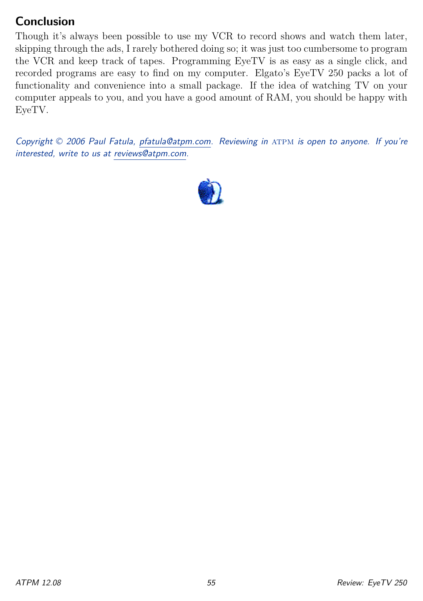### **Conclusion**

Though it's always been possible to use my VCR to record shows and watch them later, skipping through the ads, I rarely bothered doing so; it was just too cumbersome to program the VCR and keep track of tapes. Programming EyeTV is as easy as a single click, and recorded programs are easy to find on my computer. Elgato's EyeTV 250 packs a lot of functionality and convenience into a small package. If the idea of watching TV on your computer appeals to you, and you have a good amount of RAM, you should be happy with EyeTV.

Copyright © 2006 Paul Fatula, [pfatula@atpm.com.](mailto:pfatula@atpm.com) Reviewing in ATPM is open to anyone. If you're interested, write to us at [reviews@atpm.com.](mailto:reviews@atpm.com)

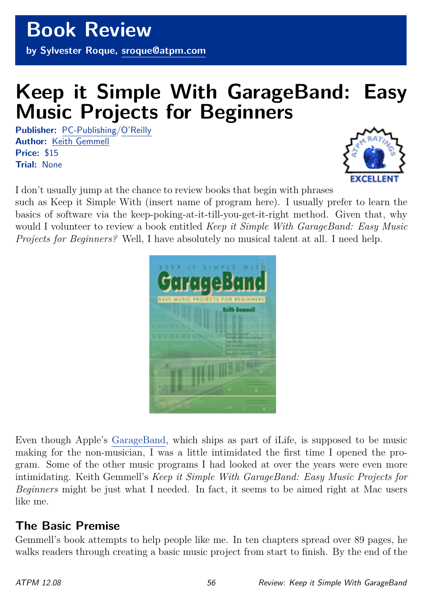**Book Review by Sylvester Roque, [sroque@atpm.com](mailto:sroque@atpm.com)**

### **Keep it Simple With GarageBand: Easy Music Projects for Beginners**

**Publisher:** [PC-Publishing/](http://www.pc-publishing.com/kisg.html)[O'Reilly](http://www.oreilly.com/catalog/1870775163/) **Author:** [Keith Gemmell](http://www.oreillynet.com/cs/catalog/view/au/2211) **Price:** \$15 **Trial:** None



I don't usually jump at the chance to review books that begin with phrases

such as Keep it Simple With (insert name of program here). I usually prefer to learn the basics of software via the keep-poking-at-it-till-you-get-it-right method. Given that, why would I volunteer to review a book entitled *Keep it Simple With GarageBand: Easy Music Projects for Beginners?* Well, I have absolutely no musical talent at all. I need help.



Even though Apple's [GarageBand,](http://www.apple.com/ilife/garageband) which ships as part of iLife, is supposed to be music making for the non-musician, I was a little intimidated the first time I opened the program. Some of the other music programs I had looked at over the years were even more intimidating. Keith Gemmell's *Keep it Simple With GarageBand: Easy Music Projects for Beginners* might be just what I needed. In fact, it seems to be aimed right at Mac users like me.

### **The Basic Premise**

Gemmell's book attempts to help people like me. In ten chapters spread over 89 pages, he walks readers through creating a basic music project from start to finish. By the end of the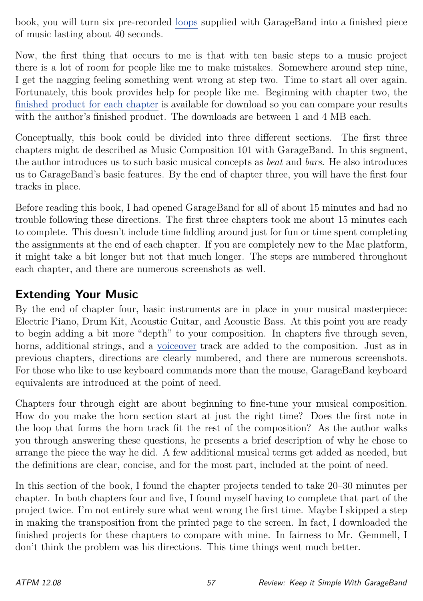book, you will turn six pre-recorded [loops](http://en.wikipedia.org/wiki/Music_loop) supplied with GarageBand into a finished piece of music lasting about 40 seconds.

Now, the first thing that occurs to me is that with ten basic steps to a music project there is a lot of room for people like me to make mistakes. Somewhere around step nine, I get the nagging feeling something went wrong at step two. Time to start all over again. Fortunately, this book provides help for people like me. Beginning with chapter two, the [finished product for each chapter](http://pc-publishing.com/downloads/gb.html) is available for download so you can compare your results with the author's finished product. The downloads are between 1 and 4 MB each.

Conceptually, this book could be divided into three different sections. The first three chapters might de described as Music Composition 101 with GarageBand. In this segment, the author introduces us to such basic musical concepts as *beat* and *bars*. He also introduces us to GarageBand's basic features. By the end of chapter three, you will have the first four tracks in place.

Before reading this book, I had opened GarageBand for all of about 15 minutes and had no trouble following these directions. The first three chapters took me about 15 minutes each to complete. This doesn't include time fiddling around just for fun or time spent completing the assignments at the end of each chapter. If you are completely new to the Mac platform, it might take a bit longer but not that much longer. The steps are numbered throughout each chapter, and there are numerous screenshots as well.

### **Extending Your Music**

By the end of chapter four, basic instruments are in place in your musical masterpiece: Electric Piano, Drum Kit, Acoustic Guitar, and Acoustic Bass. At this point you are ready to begin adding a bit more "depth" to your composition. In chapters five through seven, horns, additional strings, and a <u>[voiceover](http://en.wikipedia.org/wiki/Voiceover)</u> track are added to the composition. Just as in previous chapters, directions are clearly numbered, and there are numerous screenshots. For those who like to use keyboard commands more than the mouse, GarageBand keyboard equivalents are introduced at the point of need.

Chapters four through eight are about beginning to fine-tune your musical composition. How do you make the horn section start at just the right time? Does the first note in the loop that forms the horn track fit the rest of the composition? As the author walks you through answering these questions, he presents a brief description of why he chose to arrange the piece the way he did. A few additional musical terms get added as needed, but the definitions are clear, concise, and for the most part, included at the point of need.

In this section of the book, I found the chapter projects tended to take 20–30 minutes per chapter. In both chapters four and five, I found myself having to complete that part of the project twice. I'm not entirely sure what went wrong the first time. Maybe I skipped a step in making the transposition from the printed page to the screen. In fact, I downloaded the finished projects for these chapters to compare with mine. In fairness to Mr. Gemmell, I don't think the problem was his directions. This time things went much better.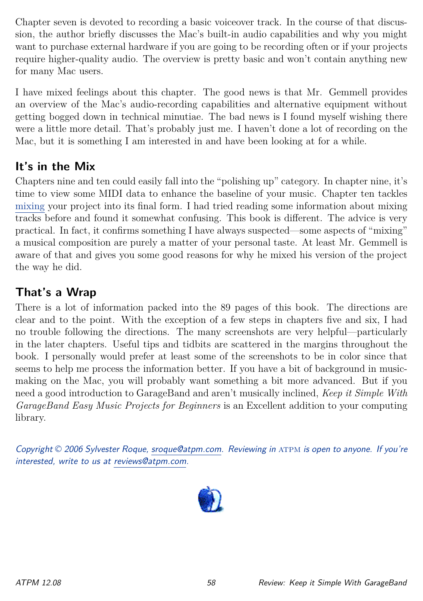Chapter seven is devoted to recording a basic voiceover track. In the course of that discussion, the author briefly discusses the Mac's built-in audio capabilities and why you might want to purchase external hardware if you are going to be recording often or if your projects require higher-quality audio. The overview is pretty basic and won't contain anything new for many Mac users.

I have mixed feelings about this chapter. The good news is that Mr. Gemmell provides an overview of the Mac's audio-recording capabilities and alternative equipment without getting bogged down in technical minutiae. The bad news is I found myself wishing there were a little more detail. That's probably just me. I haven't done a lot of recording on the Mac, but it is something I am interested in and have been looking at for a while.

### **It's in the Mix**

Chapters nine and ten could easily fall into the "polishing up" category. In chapter nine, it's time to view some MIDI data to enhance the baseline of your music. Chapter ten tackles [mixing](http://en.wikipedia.org/wiki/Audio_mixing) your project into its final form. I had tried reading some information about mixing tracks before and found it somewhat confusing. This book is different. The advice is very practical. In fact, it confirms something I have always suspected—some aspects of "mixing" a musical composition are purely a matter of your personal taste. At least Mr. Gemmell is aware of that and gives you some good reasons for why he mixed his version of the project the way he did.

### **That's a Wrap**

There is a lot of information packed into the 89 pages of this book. The directions are clear and to the point. With the exception of a few steps in chapters five and six, I had no trouble following the directions. The many screenshots are very helpful—particularly in the later chapters. Useful tips and tidbits are scattered in the margins throughout the book. I personally would prefer at least some of the screenshots to be in color since that seems to help me process the information better. If you have a bit of background in musicmaking on the Mac, you will probably want something a bit more advanced. But if you need a good introduction to GarageBand and aren't musically inclined, *Keep it Simple With GarageBand Easy Music Projects for Beginners* is an Excellent addition to your computing library.

Copyright © 2006 Sylvester Roque, [sroque@atpm.com.](mailto:sroque@atpm.com) Reviewing in ATPM is open to anyone. If you're interested, write to us at [reviews@atpm.com.](mailto:reviews@atpm.com)

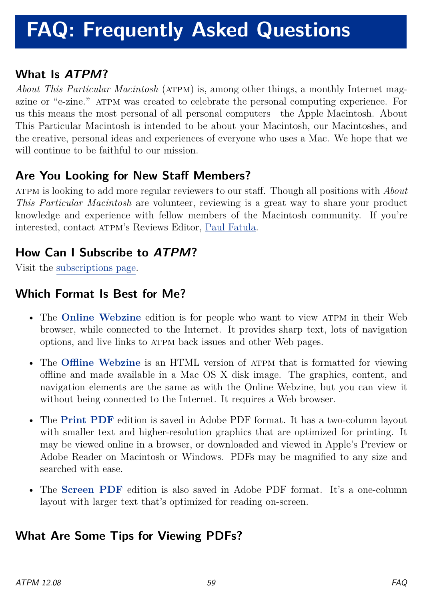### **FAQ: Frequently Asked Questions**

### **What Is ATPM?**

*About This Particular Macintosh* (ATPM) is, among other things, a monthly Internet magazine or "e-zine." ATPM was created to celebrate the personal computing experience. For us this means the most personal of all personal computers—the Apple Macintosh. About This Particular Macintosh is intended to be about your Macintosh, our Macintoshes, and the creative, personal ideas and experiences of everyone who uses a Mac. We hope that we will continue to be faithful to our mission.

### **Are You Looking for New Staff Members?**

atpm is looking to add more regular reviewers to our staff. Though all positions with *About This Particular Macintosh* are volunteer, reviewing is a great way to share your product knowledge and experience with fellow members of the Macintosh community. If you're interested, contact ATPM's Reviews Editor, [Paul Fatula.](mailto:reviews@atpm.com)

### **How Can I Subscribe to ATPM?**

Visit the [subscriptions page.](http://www.atpm.com/subscribe)

### **Which Format Is Best for Me?**

- The **Online Webzine** edition is for people who want to view ATPM in their Web browser, while connected to the Internet. It provides sharp text, lots of navigation options, and live links to ATPM back issues and other Web pages.
- The **Offline Webzine** is an HTML version of ATPM that is formatted for viewing offline and made available in a Mac OS X disk image. The graphics, content, and navigation elements are the same as with the Online Webzine, but you can view it without being connected to the Internet. It requires a Web browser.
- The **Print PDF** edition is saved in Adobe PDF format. It has a two-column layout with smaller text and higher-resolution graphics that are optimized for printing. It may be viewed online in a browser, or downloaded and viewed in Apple's Preview or Adobe Reader on Macintosh or Windows. PDFs may be magnified to any size and searched with ease.
- The **Screen PDF** edition is also saved in Adobe PDF format. It's a one-column layout with larger text that's optimized for reading on-screen.

### **What Are Some Tips for Viewing PDFs?**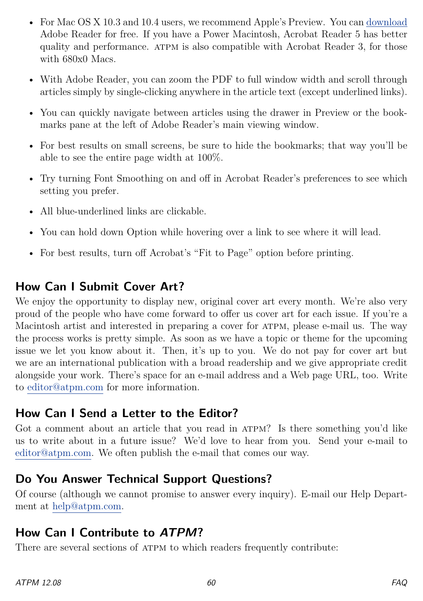- For Mac OS X 10.3 and 10.4 users, we recommend Apple's Preview. You can [download](http://www.adobe.com/products/acrobat/readstep2.html) Adobe Reader for free. If you have a Power Macintosh, Acrobat Reader 5 has better quality and performance. atpm is also compatible with Acrobat Reader 3, for those with 680x0 Macs.
- With Adobe Reader, you can zoom the PDF to full window width and scroll through articles simply by single-clicking anywhere in the article text (except underlined links).
- You can quickly navigate between articles using the drawer in Preview or the bookmarks pane at the left of Adobe Reader's main viewing window.
- For best results on small screens, be sure to hide the bookmarks; that way you'll be able to see the entire page width at 100%.
- Try turning Font Smoothing on and off in Acrobat Reader's preferences to see which setting you prefer.
- All blue-underlined links are clickable.
- You can hold down Option while hovering over a link to see where it will lead.
- For best results, turn off Acrobat's "Fit to Page" option before printing.

### **How Can I Submit Cover Art?**

We enjoy the opportunity to display new, original cover art every month. We're also very proud of the people who have come forward to offer us cover art for each issue. If you're a Macintosh artist and interested in preparing a cover for ATPM, please e-mail us. The way the process works is pretty simple. As soon as we have a topic or theme for the upcoming issue we let you know about it. Then, it's up to you. We do not pay for cover art but we are an international publication with a broad readership and we give appropriate credit alongside your work. There's space for an e-mail address and a Web page URL, too. Write to [editor@atpm.com](mailto:editor@atpm.com) for more information.

### **How Can I Send a Letter to the Editor?**

Got a comment about an article that you read in ATPM? Is there something you'd like us to write about in a future issue? We'd love to hear from you. Send your e-mail to [editor@atpm.com.](mailto:editor@atpm.com) We often publish the e-mail that comes our way.

### **Do You Answer Technical Support Questions?**

Of course (although we cannot promise to answer every inquiry). E-mail our Help Department at [help@atpm.com.](mailto:help@atpm.com)

### **How Can I Contribute to ATPM?**

There are several sections of ATPM to which readers frequently contribute: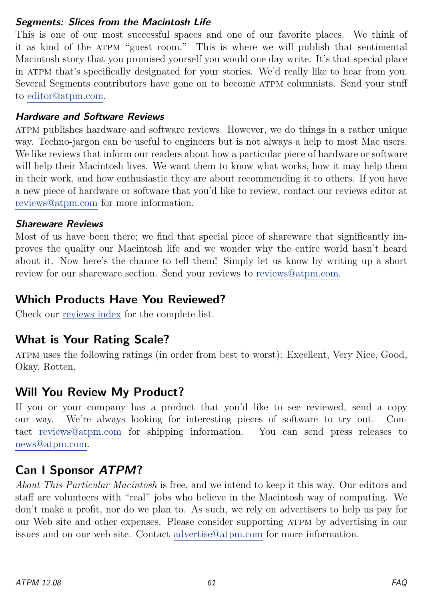#### **Segments: Slices from the Macintosh Life**

This is one of our most successful spaces and one of our favorite places. We think of it as kind of the ATPM "guest room." This is where we will publish that sentimental Macintosh story that you promised yourself you would one day write. It's that special place in ATPM that's specifically designated for your stories. We'd really like to hear from you. Several Segments contributors have gone on to become atpm columnists. Send your stuff to [editor@atpm.com.](mailto:editor@atpm.com)

#### **Hardware and Software Reviews**

atpm publishes hardware and software reviews. However, we do things in a rather unique way. Techno-jargon can be useful to engineers but is not always a help to most Mac users. We like reviews that inform our readers about how a particular piece of hardware or software will help their Macintosh lives. We want them to know what works, how it may help them in their work, and how enthusiastic they are about recommending it to others. If you have a new piece of hardware or software that you'd like to review, contact our reviews editor at [reviews@atpm.com](mailto:reviews@atpm.com) for more information.

#### **Shareware Reviews**

Most of us have been there; we find that special piece of shareware that significantly improves the quality our Macintosh life and we wonder why the entire world hasn't heard about it. Now here's the chance to tell them! Simply let us know by writing up a short review for our shareware section. Send your reviews to [reviews@atpm.com.](mailto:reviews@atpm.com)

### **Which Products Have You Reviewed?**

Check our [reviews index](http://www.atpm.com/reviews/) for the complete list.

### **What is Your Rating Scale?**

atpm uses the following ratings (in order from best to worst): Excellent, Very Nice, Good, Okay, Rotten.

### **Will You Review My Product?**

If you or your company has a product that you'd like to see reviewed, send a copy our way. We're always looking for interesting pieces of software to try out. Contact [reviews@atpm.com](mailto:reviews@atpm.com) for shipping information. You can send press releases to [news@atpm.com.](mailto:news@atpm.com)

### **Can I Sponsor ATPM?**

*About This Particular Macintosh* is free, and we intend to keep it this way. Our editors and staff are volunteers with "real" jobs who believe in the Macintosh way of computing. We don't make a profit, nor do we plan to. As such, we rely on advertisers to help us pay for our Web site and other expenses. Please consider supporting ATPM by advertising in our issues and on our web site. Contact [advertise@atpm.com](mailto:advertise@atpm.com) for more information.